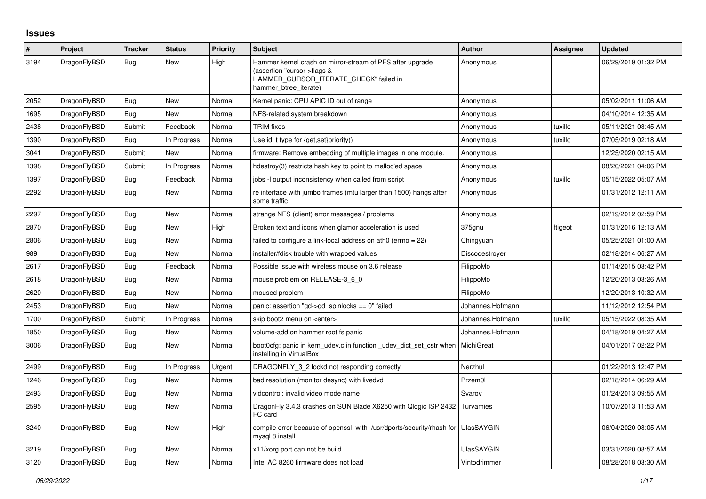## **Issues**

| #    | Project      | <b>Tracker</b> | <b>Status</b> | <b>Priority</b> | <b>Subject</b>                                                                                                                                              | <b>Author</b>     | Assignee | <b>Updated</b>      |
|------|--------------|----------------|---------------|-----------------|-------------------------------------------------------------------------------------------------------------------------------------------------------------|-------------------|----------|---------------------|
| 3194 | DragonFlyBSD | Bug            | New           | High            | Hammer kernel crash on mirror-stream of PFS after upgrade<br>(assertion "cursor->flags &<br>HAMMER_CURSOR_ITERATE_CHECK" failed in<br>hammer btree iterate) | Anonymous         |          | 06/29/2019 01:32 PM |
| 2052 | DragonFlyBSD | Bug            | New           | Normal          | Kernel panic: CPU APIC ID out of range                                                                                                                      | Anonymous         |          | 05/02/2011 11:06 AM |
| 1695 | DragonFlyBSD | <b>Bug</b>     | New           | Normal          | NFS-related system breakdown                                                                                                                                | Anonymous         |          | 04/10/2014 12:35 AM |
| 2438 | DragonFlyBSD | Submit         | Feedback      | Normal          | <b>TRIM</b> fixes                                                                                                                                           | Anonymous         | tuxillo  | 05/11/2021 03:45 AM |
| 1390 | DragonFlyBSD | <b>Bug</b>     | In Progress   | Normal          | Use id_t type for {get,set}priority()                                                                                                                       | Anonymous         | tuxillo  | 07/05/2019 02:18 AM |
| 3041 | DragonFlyBSD | Submit         | New           | Normal          | firmware: Remove embedding of multiple images in one module.                                                                                                | Anonymous         |          | 12/25/2020 02:15 AM |
| 1398 | DragonFlyBSD | Submit         | In Progress   | Normal          | hdestroy(3) restricts hash key to point to malloc'ed space                                                                                                  | Anonymous         |          | 08/20/2021 04:06 PM |
| 1397 | DragonFlyBSD | Bug            | Feedback      | Normal          | jobs -I output inconsistency when called from script                                                                                                        | Anonymous         | tuxillo  | 05/15/2022 05:07 AM |
| 2292 | DragonFlyBSD | <b>Bug</b>     | New           | Normal          | re interface with jumbo frames (mtu larger than 1500) hangs after<br>some traffic                                                                           | Anonymous         |          | 01/31/2012 12:11 AM |
| 2297 | DragonFlyBSD | Bug            | New           | Normal          | strange NFS (client) error messages / problems                                                                                                              | Anonymous         |          | 02/19/2012 02:59 PM |
| 2870 | DragonFlyBSD | <b>Bug</b>     | New           | High            | Broken text and icons when glamor acceleration is used                                                                                                      | 375gnu            | ftigeot  | 01/31/2016 12:13 AM |
| 2806 | DragonFlyBSD | Bug            | <b>New</b>    | Normal          | failed to configure a link-local address on ath $0$ (errno = 22)                                                                                            | Chingyuan         |          | 05/25/2021 01:00 AM |
| 989  | DragonFlyBSD | Bug            | New           | Normal          | installer/fdisk trouble with wrapped values                                                                                                                 | Discodestroyer    |          | 02/18/2014 06:27 AM |
| 2617 | DragonFlyBSD | Bug            | Feedback      | Normal          | Possible issue with wireless mouse on 3.6 release                                                                                                           | FilippoMo         |          | 01/14/2015 03:42 PM |
| 2618 | DragonFlyBSD | Bug            | New           | Normal          | mouse problem on RELEASE-3 6 0                                                                                                                              | FilippoMo         |          | 12/20/2013 03:26 AM |
| 2620 | DragonFlyBSD | Bug            | New           | Normal          | moused problem                                                                                                                                              | FilippoMo         |          | 12/20/2013 10:32 AM |
| 2453 | DragonFlyBSD | Bug            | <b>New</b>    | Normal          | panic: assertion "gd->gd spinlocks == $0$ " failed                                                                                                          | Johannes.Hofmann  |          | 11/12/2012 12:54 PM |
| 1700 | DragonFlyBSD | Submit         | In Progress   | Normal          | skip boot2 menu on <enter></enter>                                                                                                                          | Johannes.Hofmann  | tuxillo  | 05/15/2022 08:35 AM |
| 1850 | DragonFlyBSD | Bug            | New           | Normal          | volume-add on hammer root fs panic                                                                                                                          | Johannes.Hofmann  |          | 04/18/2019 04:27 AM |
| 3006 | DragonFlyBSD | Bug            | New           | Normal          | boot0cfg: panic in kern_udev.c in function _udev_dict_set_cstr when<br>installing in VirtualBox                                                             | MichiGreat        |          | 04/01/2017 02:22 PM |
| 2499 | DragonFlyBSD | Bug            | In Progress   | Urgent          | DRAGONFLY_3_2 lockd not responding correctly                                                                                                                | Nerzhul           |          | 01/22/2013 12:47 PM |
| 1246 | DragonFlyBSD | <b>Bug</b>     | New           | Normal          | bad resolution (monitor desync) with livedvd                                                                                                                | Przem0l           |          | 02/18/2014 06:29 AM |
| 2493 | DragonFlyBSD | <b>Bug</b>     | New           | Normal          | vidcontrol: invalid video mode name                                                                                                                         | Svarov            |          | 01/24/2013 09:55 AM |
| 2595 | DragonFlyBSD | Bug            | New           | Normal          | DragonFly 3.4.3 crashes on SUN Blade X6250 with Qlogic ISP 2432  <br>FC card                                                                                | Turvamies         |          | 10/07/2013 11:53 AM |
| 3240 | DragonFlyBSD | Bug            | New           | High            | compile error because of openssl with /usr/dports/security/rhash for   UlasSAYGIN<br>mysql 8 install                                                        |                   |          | 06/04/2020 08:05 AM |
| 3219 | DragonFlyBSD | <b>Bug</b>     | New           | Normal          | x11/xorg port can not be build                                                                                                                              | <b>UlasSAYGIN</b> |          | 03/31/2020 08:57 AM |
| 3120 | DragonFlyBSD | <b>Bug</b>     | New           | Normal          | Intel AC 8260 firmware does not load                                                                                                                        | Vintodrimmer      |          | 08/28/2018 03:30 AM |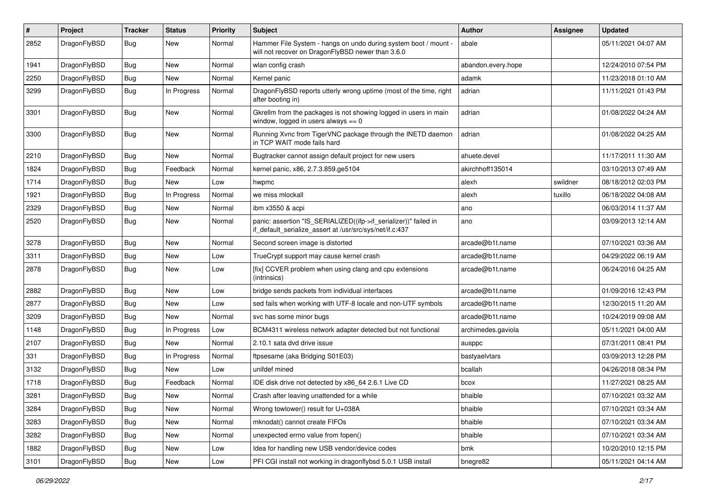| $\pmb{\#}$ | Project      | <b>Tracker</b> | <b>Status</b> | <b>Priority</b> | <b>Subject</b>                                                                                                               | <b>Author</b>      | <b>Assignee</b> | <b>Updated</b>      |
|------------|--------------|----------------|---------------|-----------------|------------------------------------------------------------------------------------------------------------------------------|--------------------|-----------------|---------------------|
| 2852       | DragonFlyBSD | Bug            | New           | Normal          | Hammer File System - hangs on undo during system boot / mount -<br>will not recover on DragonFlyBSD newer than 3.6.0         | abale              |                 | 05/11/2021 04:07 AM |
| 1941       | DragonFlyBSD | <b>Bug</b>     | <b>New</b>    | Normal          | wlan config crash                                                                                                            | abandon.every.hope |                 | 12/24/2010 07:54 PM |
| 2250       | DragonFlyBSD | Bug            | <b>New</b>    | Normal          | Kernel panic                                                                                                                 | adamk              |                 | 11/23/2018 01:10 AM |
| 3299       | DragonFlyBSD | Bug            | In Progress   | Normal          | DragonFlyBSD reports utterly wrong uptime (most of the time, right<br>after booting in)                                      | adrian             |                 | 11/11/2021 01:43 PM |
| 3301       | DragonFlyBSD | Bug            | <b>New</b>    | Normal          | Gkrellm from the packages is not showing logged in users in main<br>window, logged in users always $== 0$                    | adrian             |                 | 01/08/2022 04:24 AM |
| 3300       | DragonFlyBSD | Bug            | New           | Normal          | Running Xvnc from TigerVNC package through the INETD daemon<br>in TCP WAIT mode fails hard                                   | adrian             |                 | 01/08/2022 04:25 AM |
| 2210       | DragonFlyBSD | <b>Bug</b>     | <b>New</b>    | Normal          | Bugtracker cannot assign default project for new users                                                                       | ahuete.devel       |                 | 11/17/2011 11:30 AM |
| 1824       | DragonFlyBSD | Bug            | Feedback      | Normal          | kernel panic, x86, 2.7.3.859.ge5104                                                                                          | akirchhoff135014   |                 | 03/10/2013 07:49 AM |
| 1714       | DragonFlyBSD | <b>Bug</b>     | <b>New</b>    | Low             | hwpmc                                                                                                                        | alexh              | swildner        | 08/18/2012 02:03 PM |
| 1921       | DragonFlyBSD | Bug            | In Progress   | Normal          | we miss mlockall                                                                                                             | alexh              | tuxillo         | 06/18/2022 04:08 AM |
| 2329       | DragonFlyBSD | Bug            | <b>New</b>    | Normal          | ibm x3550 & acpi                                                                                                             | ano                |                 | 06/03/2014 11:37 AM |
| 2520       | DragonFlyBSD | Bug            | New           | Normal          | panic: assertion "IS_SERIALIZED((ifp->if_serializer))" failed in<br>if default serialize assert at /usr/src/sys/net/if.c:437 | ano                |                 | 03/09/2013 12:14 AM |
| 3278       | DragonFlyBSD | Bug            | <b>New</b>    | Normal          | Second screen image is distorted                                                                                             | arcade@b1t.name    |                 | 07/10/2021 03:36 AM |
| 3311       | DragonFlyBSD | <b>Bug</b>     | <b>New</b>    | Low             | TrueCrypt support may cause kernel crash                                                                                     | arcade@b1t.name    |                 | 04/29/2022 06:19 AM |
| 2878       | DragonFlyBSD | Bug            | New           | Low             | [fix] CCVER problem when using clang and cpu extensions<br>(intrinsics)                                                      | arcade@b1t.name    |                 | 06/24/2016 04:25 AM |
| 2882       | DragonFlyBSD | Bug            | <b>New</b>    | Low             | bridge sends packets from individual interfaces                                                                              | arcade@b1t.name    |                 | 01/09/2016 12:43 PM |
| 2877       | DragonFlyBSD | Bug            | <b>New</b>    | Low             | sed fails when working with UTF-8 locale and non-UTF symbols                                                                 | arcade@b1t.name    |                 | 12/30/2015 11:20 AM |
| 3209       | DragonFlyBSD | Bug            | <b>New</b>    | Normal          | svc has some minor bugs                                                                                                      | arcade@b1t.name    |                 | 10/24/2019 09:08 AM |
| 1148       | DragonFlyBSD | Bug            | In Progress   | Low             | BCM4311 wireless network adapter detected but not functional                                                                 | archimedes.gaviola |                 | 05/11/2021 04:00 AM |
| 2107       | DragonFlyBSD | Bug            | <b>New</b>    | Normal          | 2.10.1 sata dvd drive issue                                                                                                  | ausppc             |                 | 07/31/2011 08:41 PM |
| 331        | DragonFlyBSD | Bug            | In Progress   | Normal          | ftpsesame (aka Bridging S01E03)                                                                                              | bastyaelvtars      |                 | 03/09/2013 12:28 PM |
| 3132       | DragonFlyBSD | Bug            | <b>New</b>    | Low             | unifdef mined                                                                                                                | bcallah            |                 | 04/26/2018 08:34 PM |
| 1718       | DragonFlyBSD | <b>Bug</b>     | Feedback      | Normal          | IDE disk drive not detected by x86 64 2.6.1 Live CD                                                                          | bcox               |                 | 11/27/2021 08:25 AM |
| 3281       | DragonFlyBSD | Bug            | New           | Normal          | Crash after leaving unattended for a while                                                                                   | bhaible            |                 | 07/10/2021 03:32 AM |
| 3284       | DragonFlyBSD | <b>Bug</b>     | <b>New</b>    | Normal          | Wrong towlower() result for U+038A                                                                                           | bhaible            |                 | 07/10/2021 03:34 AM |
| 3283       | DragonFlyBSD | <b>Bug</b>     | New           | Normal          | mknodat() cannot create FIFOs                                                                                                | bhaible            |                 | 07/10/2021 03:34 AM |
| 3282       | DragonFlyBSD | Bug            | New           | Normal          | unexpected errno value from fopen()                                                                                          | bhaible            |                 | 07/10/2021 03:34 AM |
| 1882       | DragonFlyBSD | <b>Bug</b>     | New           | Low             | Idea for handling new USB vendor/device codes                                                                                | bmk                |                 | 10/20/2010 12:15 PM |
| 3101       | DragonFlyBSD | Bug            | New           | Low             | PFI CGI install not working in dragonflybsd 5.0.1 USB install                                                                | bnegre82           |                 | 05/11/2021 04:14 AM |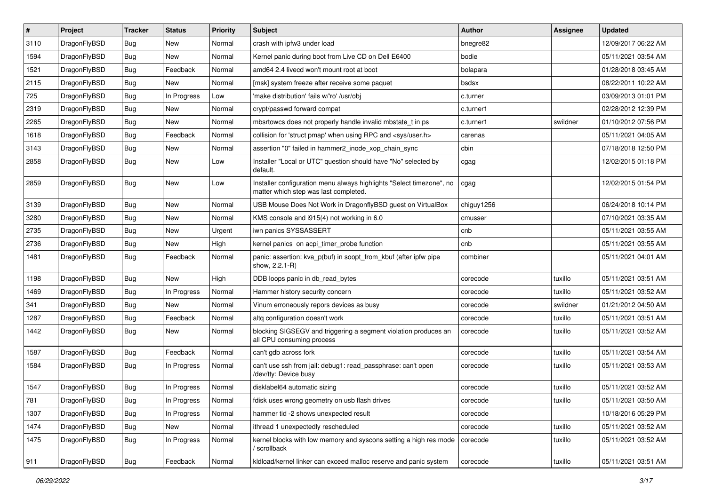| $\sharp$ | Project      | <b>Tracker</b> | <b>Status</b> | <b>Priority</b> | Subject                                                                                                       | Author     | Assignee | <b>Updated</b>      |
|----------|--------------|----------------|---------------|-----------------|---------------------------------------------------------------------------------------------------------------|------------|----------|---------------------|
| 3110     | DragonFlyBSD | <b>Bug</b>     | New           | Normal          | crash with ipfw3 under load                                                                                   | bnegre82   |          | 12/09/2017 06:22 AM |
| 1594     | DragonFlyBSD | Bug            | New           | Normal          | Kernel panic during boot from Live CD on Dell E6400                                                           | bodie      |          | 05/11/2021 03:54 AM |
| 1521     | DragonFlyBSD | <b>Bug</b>     | Feedback      | Normal          | amd64 2.4 livecd won't mount root at boot                                                                     | bolapara   |          | 01/28/2018 03:45 AM |
| 2115     | DragonFlyBSD | <b>Bug</b>     | New           | Normal          | [msk] system freeze after receive some paquet                                                                 | bsdsx      |          | 08/22/2011 10:22 AM |
| 725      | DragonFlyBSD | <b>Bug</b>     | In Progress   | Low             | 'make distribution' fails w/'ro' /usr/obj                                                                     | c.turner   |          | 03/09/2013 01:01 PM |
| 2319     | DragonFlyBSD | <b>Bug</b>     | <b>New</b>    | Normal          | crypt/passwd forward compat                                                                                   | c.turner1  |          | 02/28/2012 12:39 PM |
| 2265     | DragonFlyBSD | <b>Bug</b>     | New           | Normal          | mbsrtowcs does not properly handle invalid mbstate_t in ps                                                    | c.turner1  | swildner | 01/10/2012 07:56 PM |
| 1618     | DragonFlyBSD | <b>Bug</b>     | Feedback      | Normal          | collision for 'struct pmap' when using RPC and <sys user.h=""></sys>                                          | carenas    |          | 05/11/2021 04:05 AM |
| 3143     | DragonFlyBSD | <b>Bug</b>     | <b>New</b>    | Normal          | assertion "0" failed in hammer2 inode xop chain sync                                                          | cbin       |          | 07/18/2018 12:50 PM |
| 2858     | DragonFlyBSD | Bug            | New           | Low             | Installer "Local or UTC" question should have "No" selected by<br>default.                                    | cgag       |          | 12/02/2015 01:18 PM |
| 2859     | DragonFlyBSD | Bug            | New           | Low             | Installer configuration menu always highlights "Select timezone", no<br>matter which step was last completed. | cgag       |          | 12/02/2015 01:54 PM |
| 3139     | DragonFlyBSD | Bug            | New           | Normal          | USB Mouse Does Not Work in DragonflyBSD guest on VirtualBox                                                   | chiguy1256 |          | 06/24/2018 10:14 PM |
| 3280     | DragonFlyBSD | <b>Bug</b>     | New           | Normal          | KMS console and i915(4) not working in 6.0                                                                    | cmusser    |          | 07/10/2021 03:35 AM |
| 2735     | DragonFlyBSD | <b>Bug</b>     | New           | Urgent          | iwn panics SYSSASSERT                                                                                         | cnb        |          | 05/11/2021 03:55 AM |
| 2736     | DragonFlyBSD | <b>Bug</b>     | New           | High            | kernel panics on acpi_timer_probe function                                                                    | cnb        |          | 05/11/2021 03:55 AM |
| 1481     | DragonFlyBSD | Bug            | Feedback      | Normal          | panic: assertion: kva_p(buf) in soopt_from_kbuf (after ipfw pipe<br>show, 2.2.1-R)                            | combiner   |          | 05/11/2021 04:01 AM |
| 1198     | DragonFlyBSD | Bug            | <b>New</b>    | High            | DDB loops panic in db_read_bytes                                                                              | corecode   | tuxillo  | 05/11/2021 03:51 AM |
| 1469     | DragonFlyBSD | <b>Bug</b>     | In Progress   | Normal          | Hammer history security concern                                                                               | corecode   | tuxillo  | 05/11/2021 03:52 AM |
| 341      | DragonFlyBSD | <b>Bug</b>     | New           | Normal          | Vinum erroneously repors devices as busy                                                                      | corecode   | swildner | 01/21/2012 04:50 AM |
| 1287     | DragonFlyBSD | <b>Bug</b>     | Feedback      | Normal          | altg configuration doesn't work                                                                               | corecode   | tuxillo  | 05/11/2021 03:51 AM |
| 1442     | DragonFlyBSD | <b>Bug</b>     | New           | Normal          | blocking SIGSEGV and triggering a segment violation produces an<br>all CPU consuming process                  | corecode   | tuxillo  | 05/11/2021 03:52 AM |
| 1587     | DragonFlyBSD | Bug            | Feedback      | Normal          | can't gdb across fork                                                                                         | corecode   | tuxillo  | 05/11/2021 03:54 AM |
| 1584     | DragonFlyBSD | <b>Bug</b>     | In Progress   | Normal          | can't use ssh from jail: debug1: read_passphrase: can't open<br>/dev/tty: Device busy                         | corecode   | tuxillo  | 05/11/2021 03:53 AM |
| 1547     | DragonFlyBSD | Bug            | In Progress   | Normal          | disklabel64 automatic sizing                                                                                  | corecode   | tuxillo  | 05/11/2021 03:52 AM |
| 781      | DragonFlyBSD | <b>Bug</b>     | In Progress   | Normal          | fdisk uses wrong geometry on usb flash drives                                                                 | corecode   | tuxillo  | 05/11/2021 03:50 AM |
| 1307     | DragonFlyBSD | <b>Bug</b>     | In Progress   | Normal          | hammer tid -2 shows unexpected result                                                                         | corecode   |          | 10/18/2016 05:29 PM |
| 1474     | DragonFlyBSD | <b>Bug</b>     | New           | Normal          | ithread 1 unexpectedly rescheduled                                                                            | corecode   | tuxillo  | 05/11/2021 03:52 AM |
| 1475     | DragonFlyBSD | <b>Bug</b>     | In Progress   | Normal          | kernel blocks with low memory and syscons setting a high res mode<br>/ scrollback                             | corecode   | tuxillo  | 05/11/2021 03:52 AM |
| 911      | DragonFlyBSD | <b>Bug</b>     | Feedback      | Normal          | kldload/kernel linker can exceed malloc reserve and panic system                                              | corecode   | tuxillo  | 05/11/2021 03:51 AM |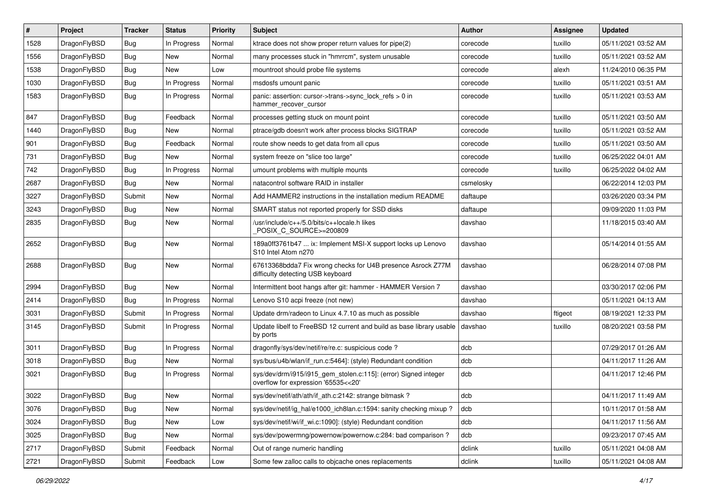| #    | Project      | <b>Tracker</b> | <b>Status</b> | <b>Priority</b> | <b>Subject</b>                                                                                         | <b>Author</b> | Assignee | <b>Updated</b>      |
|------|--------------|----------------|---------------|-----------------|--------------------------------------------------------------------------------------------------------|---------------|----------|---------------------|
| 1528 | DragonFlyBSD | <b>Bug</b>     | In Progress   | Normal          | ktrace does not show proper return values for pipe(2)                                                  | corecode      | tuxillo  | 05/11/2021 03:52 AM |
| 1556 | DragonFlyBSD | Bug            | New           | Normal          | many processes stuck in "hmrrcm", system unusable                                                      | corecode      | tuxillo  | 05/11/2021 03:52 AM |
| 1538 | DragonFlyBSD | Bug            | New           | Low             | mountroot should probe file systems                                                                    | corecode      | alexh    | 11/24/2010 06:35 PM |
| 1030 | DragonFlyBSD | Bug            | In Progress   | Normal          | msdosfs umount panic                                                                                   | corecode      | tuxillo  | 05/11/2021 03:51 AM |
| 1583 | DragonFlyBSD | Bug            | In Progress   | Normal          | panic: assertion: cursor->trans->sync_lock_refs > 0 in<br>hammer_recover_cursor                        | corecode      | tuxillo  | 05/11/2021 03:53 AM |
| 847  | DragonFlyBSD | Bug            | Feedback      | Normal          | processes getting stuck on mount point                                                                 | corecode      | tuxillo  | 05/11/2021 03:50 AM |
| 1440 | DragonFlyBSD | Bug            | New           | Normal          | ptrace/gdb doesn't work after process blocks SIGTRAP                                                   | corecode      | tuxillo  | 05/11/2021 03:52 AM |
| 901  | DragonFlyBSD | Bug            | Feedback      | Normal          | route show needs to get data from all cpus                                                             | corecode      | tuxillo  | 05/11/2021 03:50 AM |
| 731  | DragonFlyBSD | Bug            | <b>New</b>    | Normal          | system freeze on "slice too large"                                                                     | corecode      | tuxillo  | 06/25/2022 04:01 AM |
| 742  | DragonFlyBSD | Bug            | In Progress   | Normal          | umount problems with multiple mounts                                                                   | corecode      | tuxillo  | 06/25/2022 04:02 AM |
| 2687 | DragonFlyBSD | Bug            | New           | Normal          | natacontrol software RAID in installer                                                                 | csmelosky     |          | 06/22/2014 12:03 PM |
| 3227 | DragonFlyBSD | Submit         | New           | Normal          | Add HAMMER2 instructions in the installation medium README                                             | daftaupe      |          | 03/26/2020 03:34 PM |
| 3243 | DragonFlyBSD | Bug            | <b>New</b>    | Normal          | SMART status not reported properly for SSD disks                                                       | daftaupe      |          | 09/09/2020 11:03 PM |
| 2835 | DragonFlyBSD | Bug            | New           | Normal          | /usr/include/c++/5.0/bits/c++locale.h likes<br>POSIX_C_SOURCE>=200809                                  | davshao       |          | 11/18/2015 03:40 AM |
| 2652 | DragonFlyBSD | Bug            | New           | Normal          | 189a0ff3761b47  ix: Implement MSI-X support locks up Lenovo<br>S10 Intel Atom n270                     | davshao       |          | 05/14/2014 01:55 AM |
| 2688 | DragonFlyBSD | Bug            | <b>New</b>    | Normal          | 67613368bdda7 Fix wrong checks for U4B presence Asrock Z77M<br>difficulty detecting USB keyboard       | davshao       |          | 06/28/2014 07:08 PM |
| 2994 | DragonFlyBSD | Bug            | <b>New</b>    | Normal          | Intermittent boot hangs after git: hammer - HAMMER Version 7                                           | davshao       |          | 03/30/2017 02:06 PM |
| 2414 | DragonFlyBSD | Bug            | In Progress   | Normal          | Lenovo S10 acpi freeze (not new)                                                                       | davshao       |          | 05/11/2021 04:13 AM |
| 3031 | DragonFlyBSD | Submit         | In Progress   | Normal          | Update drm/radeon to Linux 4.7.10 as much as possible                                                  | davshao       | ftigeot  | 08/19/2021 12:33 PM |
| 3145 | DragonFlyBSD | Submit         | In Progress   | Normal          | Update libelf to FreeBSD 12 current and build as base library usable<br>by ports                       | davshao       | tuxillo  | 08/20/2021 03:58 PM |
| 3011 | DragonFlyBSD | Bug            | In Progress   | Normal          | dragonfly/sys/dev/netif/re/re.c: suspicious code?                                                      | dcb           |          | 07/29/2017 01:26 AM |
| 3018 | DragonFlyBSD | Bug            | <b>New</b>    | Normal          | sys/bus/u4b/wlan/if_run.c:5464]: (style) Redundant condition                                           | dcb           |          | 04/11/2017 11:26 AM |
| 3021 | DragonFlyBSD | <b>Bug</b>     | In Progress   | Normal          | sys/dev/drm/i915/i915_gem_stolen.c:115]: (error) Signed integer<br>overflow for expression '65535<<20' | dcb           |          | 04/11/2017 12:46 PM |
| 3022 | DragonFlyBSD | <b>Bug</b>     | <b>New</b>    | Normal          | sys/dev/netif/ath/ath/if_ath.c:2142: strange bitmask?                                                  | dcb           |          | 04/11/2017 11:49 AM |
| 3076 | DragonFlyBSD | Bug            | New           | Normal          | sys/dev/netif/ig_hal/e1000_ich8lan.c:1594: sanity checking mixup?                                      | dcb           |          | 10/11/2017 01:58 AM |
| 3024 | DragonFlyBSD | Bug            | New           | Low             | sys/dev/netif/wi/if_wi.c:1090]: (style) Redundant condition                                            | dcb           |          | 04/11/2017 11:56 AM |
| 3025 | DragonFlyBSD | <b>Bug</b>     | New           | Normal          | sys/dev/powermng/powernow/powernow.c:284: bad comparison?                                              | dcb           |          | 09/23/2017 07:45 AM |
| 2717 | DragonFlyBSD | Submit         | Feedback      | Normal          | Out of range numeric handling                                                                          | dclink        | tuxillo  | 05/11/2021 04:08 AM |
| 2721 | DragonFlyBSD | Submit         | Feedback      | Low             | Some few zalloc calls to objcache ones replacements                                                    | dclink        | tuxillo  | 05/11/2021 04:08 AM |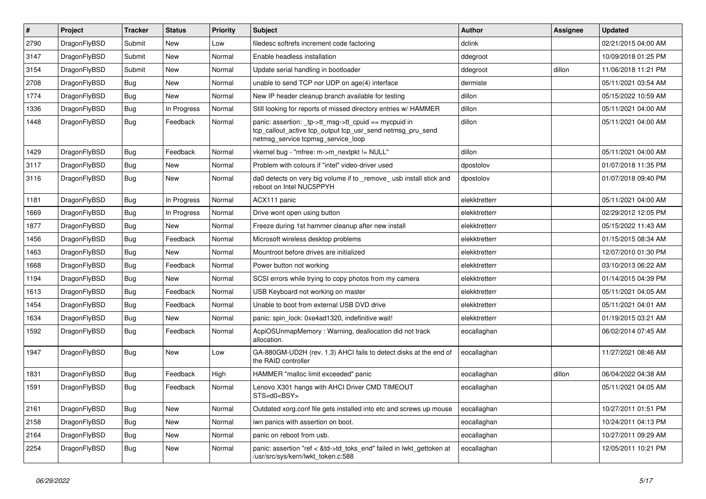| $\vert$ # | Project      | <b>Tracker</b> | <b>Status</b> | <b>Priority</b> | <b>Subject</b>                                                                                                                                            | <b>Author</b> | Assignee | <b>Updated</b>      |
|-----------|--------------|----------------|---------------|-----------------|-----------------------------------------------------------------------------------------------------------------------------------------------------------|---------------|----------|---------------------|
| 2790      | DragonFlyBSD | Submit         | New           | Low             | filedesc softrefs increment code factoring                                                                                                                | dclink        |          | 02/21/2015 04:00 AM |
| 3147      | DragonFlyBSD | Submit         | New           | Normal          | Enable headless installation                                                                                                                              | ddegroot      |          | 10/09/2018 01:25 PM |
| 3154      | DragonFlyBSD | Submit         | New           | Normal          | Update serial handling in bootloader                                                                                                                      | ddegroot      | dillon   | 11/06/2018 11:21 PM |
| 2708      | DragonFlyBSD | Bug            | New           | Normal          | unable to send TCP nor UDP on age(4) interface                                                                                                            | dermiste      |          | 05/11/2021 03:54 AM |
| 1774      | DragonFlyBSD | <b>Bug</b>     | <b>New</b>    | Normal          | New IP header cleanup branch available for testing                                                                                                        | dillon        |          | 05/15/2022 10:59 AM |
| 1336      | DragonFlyBSD | <b>Bug</b>     | In Progress   | Normal          | Still looking for reports of missed directory entries w/ HAMMER                                                                                           | dillon        |          | 05/11/2021 04:00 AM |
| 1448      | DragonFlyBSD | Bug            | Feedback      | Normal          | panic: assertion: _tp->tt_msg->tt_cpuid == mycpuid in<br>tcp_callout_active tcp_output tcp_usr_send netmsg_pru_send<br>netmsg_service tcpmsg_service_loop | dillon        |          | 05/11/2021 04:00 AM |
| 1429      | DragonFlyBSD | Bug            | Feedback      | Normal          | vkernel bug - "mfree: m->m_nextpkt != NULL"                                                                                                               | dillon        |          | 05/11/2021 04:00 AM |
| 3117      | DragonFlyBSD | Bug            | New           | Normal          | Problem with colours if "intel" video-driver used                                                                                                         | dpostolov     |          | 01/07/2018 11:35 PM |
| 3116      | DragonFlyBSD | Bug            | New           | Normal          | da0 detects on very big volume if to _remove_ usb install stick and<br>reboot on Intel NUC5PPYH                                                           | dpostolov     |          | 01/07/2018 09:40 PM |
| 1181      | DragonFlyBSD | <b>Bug</b>     | In Progress   | Normal          | ACX111 panic                                                                                                                                              | elekktretterr |          | 05/11/2021 04:00 AM |
| 1669      | DragonFlyBSD | <b>Bug</b>     | In Progress   | Normal          | Drive wont open using button                                                                                                                              | elekktretterr |          | 02/29/2012 12:05 PM |
| 1877      | DragonFlyBSD | Bug            | New           | Normal          | Freeze during 1st hammer cleanup after new install                                                                                                        | elekktretterr |          | 05/15/2022 11:43 AM |
| 1456      | DragonFlyBSD | <b>Bug</b>     | Feedback      | Normal          | Microsoft wireless desktop problems                                                                                                                       | elekktretterr |          | 01/15/2015 08:34 AM |
| 1463      | DragonFlyBSD | <b>Bug</b>     | New           | Normal          | Mountroot before drives are initialized                                                                                                                   | elekktretterr |          | 12/07/2010 01:30 PM |
| 1668      | DragonFlyBSD | <b>Bug</b>     | Feedback      | Normal          | Power button not working                                                                                                                                  | elekktretterr |          | 03/10/2013 06:22 AM |
| 1194      | DragonFlyBSD | <b>Bug</b>     | New           | Normal          | SCSI errors while trying to copy photos from my camera                                                                                                    | elekktretterr |          | 01/14/2015 04:39 PM |
| 1613      | DragonFlyBSD | <b>Bug</b>     | Feedback      | Normal          | USB Keyboard not working on master                                                                                                                        | elekktretterr |          | 05/11/2021 04:05 AM |
| 1454      | DragonFlyBSD | <b>Bug</b>     | Feedback      | Normal          | Unable to boot from external USB DVD drive                                                                                                                | elekktretterr |          | 05/11/2021 04:01 AM |
| 1634      | DragonFlyBSD | <b>Bug</b>     | New           | Normal          | panic: spin lock: 0xe4ad1320, indefinitive wait!                                                                                                          | elekktretterr |          | 01/19/2015 03:21 AM |
| 1592      | DragonFlyBSD | Bug            | Feedback      | Normal          | AcpiOSUnmapMemory: Warning, deallocation did not track<br>allocation.                                                                                     | eocallaghan   |          | 06/02/2014 07:45 AM |
| 1947      | DragonFlyBSD | Bug            | <b>New</b>    | Low             | GA-880GM-UD2H (rev. 1.3) AHCI fails to detect disks at the end of<br>the RAID controller                                                                  | eocallaghan   |          | 11/27/2021 08:46 AM |
| 1831      | DragonFlyBSD | <b>Bug</b>     | Feedback      | High            | HAMMER "malloc limit exceeded" panic                                                                                                                      | eocallaghan   | dillon   | 06/04/2022 04:38 AM |
| 1591      | DragonFlyBSD | <b>Bug</b>     | Feedback      | Normal          | Lenovo X301 hangs with AHCI Driver CMD TIMEOUT<br>STS=d0 <bsy></bsy>                                                                                      | eocallaghan   |          | 05/11/2021 04:05 AM |
| 2161      | DragonFlyBSD | Bug            | New           | Normal          | Outdated xorg.conf file gets installed into etc and screws up mouse                                                                                       | eocallaghan   |          | 10/27/2011 01:51 PM |
| 2158      | DragonFlyBSD | <b>Bug</b>     | New           | Normal          | iwn panics with assertion on boot.                                                                                                                        | eocallaghan   |          | 10/24/2011 04:13 PM |
| 2164      | DragonFlyBSD | <b>Bug</b>     | New           | Normal          | panic on reboot from usb.                                                                                                                                 | eocallaghan   |          | 10/27/2011 09:29 AM |
| 2254      | DragonFlyBSD | <b>Bug</b>     | New           | Normal          | panic: assertion "ref < &td->td_toks_end" failed in lwkt_gettoken at<br>/usr/src/sys/kern/lwkt_token.c:588                                                | eocallaghan   |          | 12/05/2011 10:21 PM |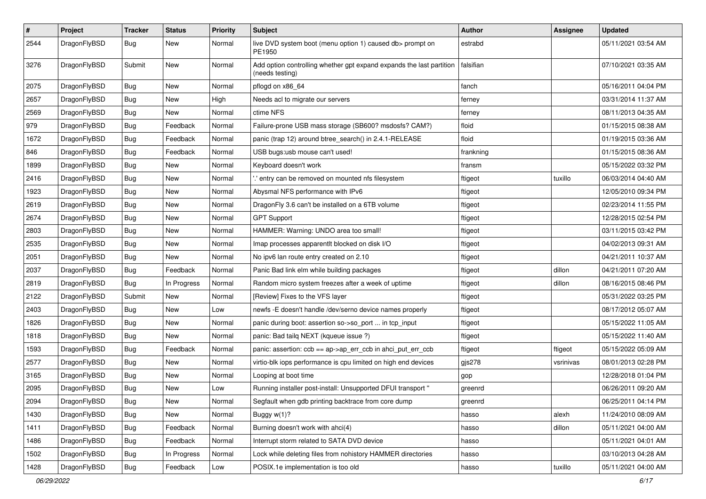| $\pmb{\#}$ | Project      | <b>Tracker</b> | <b>Status</b> | <b>Priority</b> | <b>Subject</b>                                                                          | Author    | <b>Assignee</b> | <b>Updated</b>      |
|------------|--------------|----------------|---------------|-----------------|-----------------------------------------------------------------------------------------|-----------|-----------------|---------------------|
| 2544       | DragonFlyBSD | Bug            | New           | Normal          | live DVD system boot (menu option 1) caused db> prompt on<br>PE1950                     | estrabd   |                 | 05/11/2021 03:54 AM |
| 3276       | DragonFlyBSD | Submit         | New           | Normal          | Add option controlling whether gpt expand expands the last partition<br>(needs testing) | falsifian |                 | 07/10/2021 03:35 AM |
| 2075       | DragonFlyBSD | <b>Bug</b>     | <b>New</b>    | Normal          | pflogd on x86_64                                                                        | fanch     |                 | 05/16/2011 04:04 PM |
| 2657       | DragonFlyBSD | Bug            | New           | High            | Needs acl to migrate our servers                                                        | ferney    |                 | 03/31/2014 11:37 AM |
| 2569       | DragonFlyBSD | Bug            | New           | Normal          | ctime NFS                                                                               | ferney    |                 | 08/11/2013 04:35 AM |
| 979        | DragonFlyBSD | Bug            | Feedback      | Normal          | Failure-prone USB mass storage (SB600? msdosfs? CAM?)                                   | floid     |                 | 01/15/2015 08:38 AM |
| 1672       | DragonFlyBSD | <b>Bug</b>     | Feedback      | Normal          | panic (trap 12) around btree_search() in 2.4.1-RELEASE                                  | floid     |                 | 01/19/2015 03:36 AM |
| 846        | DragonFlyBSD | <b>Bug</b>     | Feedback      | Normal          | USB bugs:usb mouse can't used!                                                          | frankning |                 | 01/15/2015 08:36 AM |
| 1899       | DragonFlyBSD | <b>Bug</b>     | New           | Normal          | Keyboard doesn't work                                                                   | fransm    |                 | 05/15/2022 03:32 PM |
| 2416       | DragonFlyBSD | Bug            | New           | Normal          | ".' entry can be removed on mounted nfs filesystem                                      | ftigeot   | tuxillo         | 06/03/2014 04:40 AM |
| 1923       | DragonFlyBSD | <b>Bug</b>     | New           | Normal          | Abysmal NFS performance with IPv6                                                       | ftigeot   |                 | 12/05/2010 09:34 PM |
| 2619       | DragonFlyBSD | <b>Bug</b>     | <b>New</b>    | Normal          | DragonFly 3.6 can't be installed on a 6TB volume                                        | ftigeot   |                 | 02/23/2014 11:55 PM |
| 2674       | DragonFlyBSD | Bug            | <b>New</b>    | Normal          | <b>GPT Support</b>                                                                      | ftigeot   |                 | 12/28/2015 02:54 PM |
| 2803       | DragonFlyBSD | Bug            | <b>New</b>    | Normal          | HAMMER: Warning: UNDO area too small!                                                   | ftigeot   |                 | 03/11/2015 03:42 PM |
| 2535       | DragonFlyBSD | <b>Bug</b>     | New           | Normal          | Imap processes apparentlt blocked on disk I/O                                           | ftigeot   |                 | 04/02/2013 09:31 AM |
| 2051       | DragonFlyBSD | Bug            | New           | Normal          | No ipv6 lan route entry created on 2.10                                                 | ftigeot   |                 | 04/21/2011 10:37 AM |
| 2037       | DragonFlyBSD | <b>Bug</b>     | Feedback      | Normal          | Panic Bad link elm while building packages                                              | ftigeot   | dillon          | 04/21/2011 07:20 AM |
| 2819       | DragonFlyBSD | <b>Bug</b>     | In Progress   | Normal          | Random micro system freezes after a week of uptime                                      | ftigeot   | dillon          | 08/16/2015 08:46 PM |
| 2122       | DragonFlyBSD | Submit         | New           | Normal          | [Review] Fixes to the VFS layer                                                         | ftigeot   |                 | 05/31/2022 03:25 PM |
| 2403       | DragonFlyBSD | <b>Bug</b>     | New           | Low             | newfs -E doesn't handle /dev/serno device names properly                                | ftigeot   |                 | 08/17/2012 05:07 AM |
| 1826       | DragonFlyBSD | Bug            | <b>New</b>    | Normal          | panic during boot: assertion so->so_port  in tcp_input                                  | ftigeot   |                 | 05/15/2022 11:05 AM |
| 1818       | DragonFlyBSD | <b>Bug</b>     | New           | Normal          | panic: Bad tailq NEXT (kqueue issue ?)                                                  | ftigeot   |                 | 05/15/2022 11:40 AM |
| 1593       | DragonFlyBSD | Bug            | Feedback      | Normal          | panic: assertion: ccb == ap->ap_err_ccb in ahci_put_err_ccb                             | ftigeot   | ftigeot         | 05/15/2022 05:09 AM |
| 2577       | DragonFlyBSD | Bug            | New           | Normal          | virtio-blk iops performance is cpu limited on high end devices                          | gjs278    | vsrinivas       | 08/01/2013 02:28 PM |
| 3165       | DragonFlyBSD | Bug            | <b>New</b>    | Normal          | Looping at boot time                                                                    | gop       |                 | 12/28/2018 01:04 PM |
| 2095       | DragonFlyBSD | Bug            | <b>New</b>    | Low             | Running installer post-install: Unsupported DFUI transport "                            | greenrd   |                 | 06/26/2011 09:20 AM |
| 2094       | DragonFlyBSD | Bug            | New           | Normal          | Segfault when gdb printing backtrace from core dump                                     | greenrd   |                 | 06/25/2011 04:14 PM |
| 1430       | DragonFlyBSD | Bug            | New           | Normal          | Buggy $w(1)$ ?                                                                          | hasso     | alexh           | 11/24/2010 08:09 AM |
| 1411       | DragonFlyBSD | Bug            | Feedback      | Normal          | Burning doesn't work with ahci(4)                                                       | hasso     | dillon          | 05/11/2021 04:00 AM |
| 1486       | DragonFlyBSD | Bug            | Feedback      | Normal          | Interrupt storm related to SATA DVD device                                              | hasso     |                 | 05/11/2021 04:01 AM |
| 1502       | DragonFlyBSD | <b>Bug</b>     | In Progress   | Normal          | Lock while deleting files from nohistory HAMMER directories                             | hasso     |                 | 03/10/2013 04:28 AM |
| 1428       | DragonFlyBSD | <b>Bug</b>     | Feedback      | Low             | POSIX.1e implementation is too old                                                      | hasso     | tuxillo         | 05/11/2021 04:00 AM |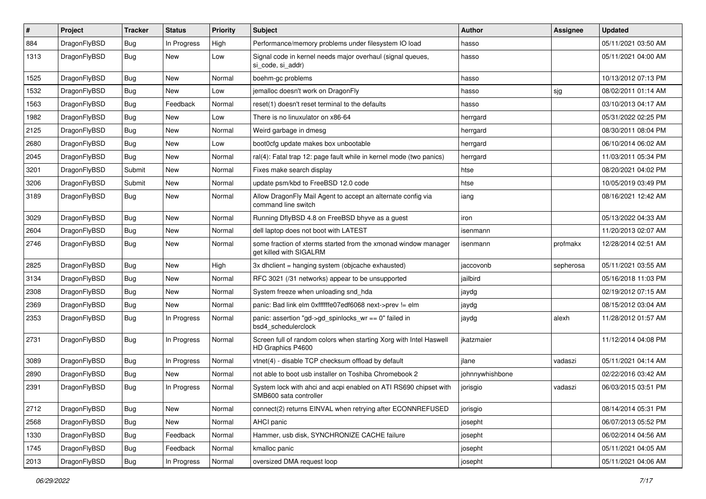| #    | Project      | <b>Tracker</b> | <b>Status</b> | <b>Priority</b> | Subject                                                                                    | <b>Author</b>   | Assignee  | <b>Updated</b>      |
|------|--------------|----------------|---------------|-----------------|--------------------------------------------------------------------------------------------|-----------------|-----------|---------------------|
| 884  | DragonFlyBSD | <b>Bug</b>     | In Progress   | High            | Performance/memory problems under filesystem IO load                                       | hasso           |           | 05/11/2021 03:50 AM |
| 1313 | DragonFlyBSD | <b>Bug</b>     | <b>New</b>    | Low             | Signal code in kernel needs major overhaul (signal queues,<br>si code, si addr)            | hasso           |           | 05/11/2021 04:00 AM |
| 1525 | DragonFlyBSD | <b>Bug</b>     | <b>New</b>    | Normal          | boehm-gc problems                                                                          | hasso           |           | 10/13/2012 07:13 PM |
| 1532 | DragonFlyBSD | <b>Bug</b>     | <b>New</b>    | Low             | jemalloc doesn't work on DragonFly                                                         | hasso           | sjg       | 08/02/2011 01:14 AM |
| 1563 | DragonFlyBSD | <b>Bug</b>     | Feedback      | Normal          | reset(1) doesn't reset terminal to the defaults                                            | hasso           |           | 03/10/2013 04:17 AM |
| 1982 | DragonFlyBSD | <b>Bug</b>     | <b>New</b>    | Low             | There is no linuxulator on x86-64                                                          | herrgard        |           | 05/31/2022 02:25 PM |
| 2125 | DragonFlyBSD | <b>Bug</b>     | New           | Normal          | Weird garbage in dmesg                                                                     | herrgard        |           | 08/30/2011 08:04 PM |
| 2680 | DragonFlyBSD | Bug            | New           | Low             | boot0cfg update makes box unbootable                                                       | herrgard        |           | 06/10/2014 06:02 AM |
| 2045 | DragonFlyBSD | <b>Bug</b>     | <b>New</b>    | Normal          | ral(4): Fatal trap 12: page fault while in kernel mode (two panics)                        | herrgard        |           | 11/03/2011 05:34 PM |
| 3201 | DragonFlyBSD | Submit         | New           | Normal          | Fixes make search display                                                                  | htse            |           | 08/20/2021 04:02 PM |
| 3206 | DragonFlyBSD | Submit         | <b>New</b>    | Normal          | update psm/kbd to FreeBSD 12.0 code                                                        | htse            |           | 10/05/2019 03:49 PM |
| 3189 | DragonFlyBSD | Bug            | New           | Normal          | Allow DragonFly Mail Agent to accept an alternate config via<br>command line switch        | iang            |           | 08/16/2021 12:42 AM |
| 3029 | DragonFlyBSD | <b>Bug</b>     | <b>New</b>    | Normal          | Running DflyBSD 4.8 on FreeBSD bhyve as a guest                                            | iron            |           | 05/13/2022 04:33 AM |
| 2604 | DragonFlyBSD | <b>Bug</b>     | <b>New</b>    | Normal          | dell laptop does not boot with LATEST                                                      | isenmann        |           | 11/20/2013 02:07 AM |
| 2746 | DragonFlyBSD | <b>Bug</b>     | New           | Normal          | some fraction of xterms started from the xmonad window manager<br>get killed with SIGALRM  | isenmann        | profmakx  | 12/28/2014 02:51 AM |
| 2825 | DragonFlyBSD | <b>Bug</b>     | New           | High            | 3x dhclient = hanging system (objcache exhausted)                                          | jaccovonb       | sepherosa | 05/11/2021 03:55 AM |
| 3134 | DragonFlyBSD | <b>Bug</b>     | <b>New</b>    | Normal          | RFC 3021 (/31 networks) appear to be unsupported                                           | jailbird        |           | 05/16/2018 11:03 PM |
| 2308 | DragonFlyBSD | <b>Bug</b>     | New           | Normal          | System freeze when unloading snd_hda                                                       | jaydg           |           | 02/19/2012 07:15 AM |
| 2369 | DragonFlyBSD | <b>Bug</b>     | New           | Normal          | panic: Bad link elm 0xffffffe07edf6068 next->prev != elm                                   | jaydg           |           | 08/15/2012 03:04 AM |
| 2353 | DragonFlyBSD | <b>Bug</b>     | In Progress   | Normal          | panic: assertion "gd->gd_spinlocks_wr == 0" failed in<br>bsd4_schedulerclock               | jaydg           | alexh     | 11/28/2012 01:57 AM |
| 2731 | DragonFlyBSD | <b>Bug</b>     | In Progress   | Normal          | Screen full of random colors when starting Xorg with Intel Haswell<br>HD Graphics P4600    | jkatzmaier      |           | 11/12/2014 04:08 PM |
| 3089 | DragonFlyBSD | <b>Bug</b>     | In Progress   | Normal          | vtnet(4) - disable TCP checksum offload by default                                         | jlane           | vadaszi   | 05/11/2021 04:14 AM |
| 2890 | DragonFlyBSD | <b>Bug</b>     | New           | Normal          | not able to boot usb installer on Toshiba Chromebook 2                                     | johnnywhishbone |           | 02/22/2016 03:42 AM |
| 2391 | DragonFlyBSD | <b>Bug</b>     | In Progress   | Normal          | System lock with ahci and acpi enabled on ATI RS690 chipset with<br>SMB600 sata controller | jorisgio        | vadaszi   | 06/03/2015 03:51 PM |
| 2712 | DragonFlyBSD | <b>Bug</b>     | New           | Normal          | connect(2) returns EINVAL when retrying after ECONNREFUSED                                 | jorisgio        |           | 08/14/2014 05:31 PM |
| 2568 | DragonFlyBSD | <b>Bug</b>     | New           | Normal          | AHCI panic                                                                                 | josepht         |           | 06/07/2013 05:52 PM |
| 1330 | DragonFlyBSD | <b>Bug</b>     | Feedback      | Normal          | Hammer, usb disk, SYNCHRONIZE CACHE failure                                                | josepht         |           | 06/02/2014 04:56 AM |
| 1745 | DragonFlyBSD | <b>Bug</b>     | Feedback      | Normal          | kmalloc panic                                                                              | josepht         |           | 05/11/2021 04:05 AM |
| 2013 | DragonFlyBSD | <b>Bug</b>     | In Progress   | Normal          | oversized DMA request loop                                                                 | josepht         |           | 05/11/2021 04:06 AM |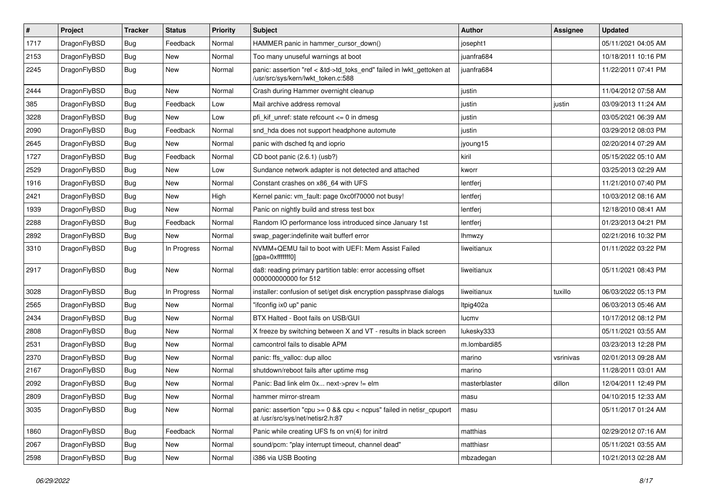| $\sharp$ | Project      | <b>Tracker</b> | <b>Status</b> | <b>Priority</b> | <b>Subject</b>                                                                                             | Author        | Assignee  | <b>Updated</b>      |
|----------|--------------|----------------|---------------|-----------------|------------------------------------------------------------------------------------------------------------|---------------|-----------|---------------------|
| 1717     | DragonFlyBSD | <b>Bug</b>     | Feedback      | Normal          | HAMMER panic in hammer cursor down()                                                                       | josepht1      |           | 05/11/2021 04:05 AM |
| 2153     | DragonFlyBSD | Bug            | New           | Normal          | Too many unuseful warnings at boot                                                                         | juanfra684    |           | 10/18/2011 10:16 PM |
| 2245     | DragonFlyBSD | <b>Bug</b>     | New           | Normal          | panic: assertion "ref < &td->td_toks_end" failed in lwkt_gettoken at<br>/usr/src/sys/kern/lwkt_token.c:588 | juanfra684    |           | 11/22/2011 07:41 PM |
| 2444     | DragonFlyBSD | Bug            | <b>New</b>    | Normal          | Crash during Hammer overnight cleanup                                                                      | justin        |           | 11/04/2012 07:58 AM |
| 385      | DragonFlyBSD | Bug            | Feedback      | Low             | Mail archive address removal                                                                               | justin        | justin    | 03/09/2013 11:24 AM |
| 3228     | DragonFlyBSD | Bug            | New           | Low             | pfi kif unref: state refcount $\leq$ 0 in dmesq                                                            | justin        |           | 03/05/2021 06:39 AM |
| 2090     | DragonFlyBSD | Bug            | Feedback      | Normal          | snd hda does not support headphone automute                                                                | justin        |           | 03/29/2012 08:03 PM |
| 2645     | DragonFlyBSD | Bug            | New           | Normal          | panic with dsched fq and ioprio                                                                            | jyoung15      |           | 02/20/2014 07:29 AM |
| 1727     | DragonFlyBSD | Bug            | Feedback      | Normal          | CD boot panic (2.6.1) (usb?)                                                                               | kiril         |           | 05/15/2022 05:10 AM |
| 2529     | DragonFlyBSD | Bug            | <b>New</b>    | Low             | Sundance network adapter is not detected and attached                                                      | kworr         |           | 03/25/2013 02:29 AM |
| 1916     | DragonFlyBSD | Bug            | New           | Normal          | Constant crashes on x86 64 with UFS                                                                        | lentferj      |           | 11/21/2010 07:40 PM |
| 2421     | DragonFlyBSD | Bug            | New           | High            | Kernel panic: vm_fault: page 0xc0f70000 not busy!                                                          | lentferj      |           | 10/03/2012 08:16 AM |
| 1939     | DragonFlyBSD | Bug            | New           | Normal          | Panic on nightly build and stress test box                                                                 | lentferj      |           | 12/18/2010 08:41 AM |
| 2288     | DragonFlyBSD | Bug            | Feedback      | Normal          | Random IO performance loss introduced since January 1st                                                    | lentferj      |           | 01/23/2013 04:21 PM |
| 2892     | DragonFlyBSD | Bug            | <b>New</b>    | Normal          | swap pager:indefinite wait bufferf error                                                                   | lhmwzy        |           | 02/21/2016 10:32 PM |
| 3310     | DragonFlyBSD | Bug            | In Progress   | Normal          | NVMM+QEMU fail to boot with UEFI: Mem Assist Failed<br>[gpa=0xfffffff0]                                    | liweitianux   |           | 01/11/2022 03:22 PM |
| 2917     | DragonFlyBSD | Bug            | New           | Normal          | da8: reading primary partition table: error accessing offset<br>000000000000 for 512                       | liweitianux   |           | 05/11/2021 08:43 PM |
| 3028     | DragonFlyBSD | Bug            | In Progress   | Normal          | installer: confusion of set/get disk encryption passphrase dialogs                                         | liweitianux   | tuxillo   | 06/03/2022 05:13 PM |
| 2565     | DragonFlyBSD | Bug            | <b>New</b>    | Normal          | "ifconfig ix0 up" panic                                                                                    | Itpig402a     |           | 06/03/2013 05:46 AM |
| 2434     | DragonFlyBSD | Bug            | <b>New</b>    | Normal          | BTX Halted - Boot fails on USB/GUI                                                                         | lucmv         |           | 10/17/2012 08:12 PM |
| 2808     | DragonFlyBSD | Bug            | New           | Normal          | X freeze by switching between X and VT - results in black screen                                           | lukesky333    |           | 05/11/2021 03:55 AM |
| 2531     | DragonFlyBSD | Bug            | New           | Normal          | camcontrol fails to disable APM                                                                            | m.lombardi85  |           | 03/23/2013 12:28 PM |
| 2370     | DragonFlyBSD | Bug            | <b>New</b>    | Normal          | panic: ffs_valloc: dup alloc                                                                               | marino        | vsrinivas | 02/01/2013 09:28 AM |
| 2167     | DragonFlyBSD | Bug            | <b>New</b>    | Normal          | shutdown/reboot fails after uptime msg                                                                     | marino        |           | 11/28/2011 03:01 AM |
| 2092     | DragonFlyBSD | Bug            | New           | Normal          | Panic: Bad link elm 0x next->prev != elm                                                                   | masterblaster | dillon    | 12/04/2011 12:49 PM |
| 2809     | DragonFlyBSD | Bug            | <b>New</b>    | Normal          | hammer mirror-stream                                                                                       | masu          |           | 04/10/2015 12:33 AM |
| 3035     | DragonFlyBSD | <b>Bug</b>     | New           | Normal          | panic: assertion "cpu >= 0 && cpu < ncpus" failed in netisr_cpuport<br>at /usr/src/sys/net/netisr2.h:87    | masu          |           | 05/11/2017 01:24 AM |
| 1860     | DragonFlyBSD | Bug            | Feedback      | Normal          | Panic while creating UFS fs on vn(4) for initrd                                                            | matthias      |           | 02/29/2012 07:16 AM |
| 2067     | DragonFlyBSD | <b>Bug</b>     | New           | Normal          | sound/pcm: "play interrupt timeout, channel dead"                                                          | matthiasr     |           | 05/11/2021 03:55 AM |
| 2598     | DragonFlyBSD | <b>Bug</b>     | New           | Normal          | i386 via USB Booting                                                                                       | mbzadegan     |           | 10/21/2013 02:28 AM |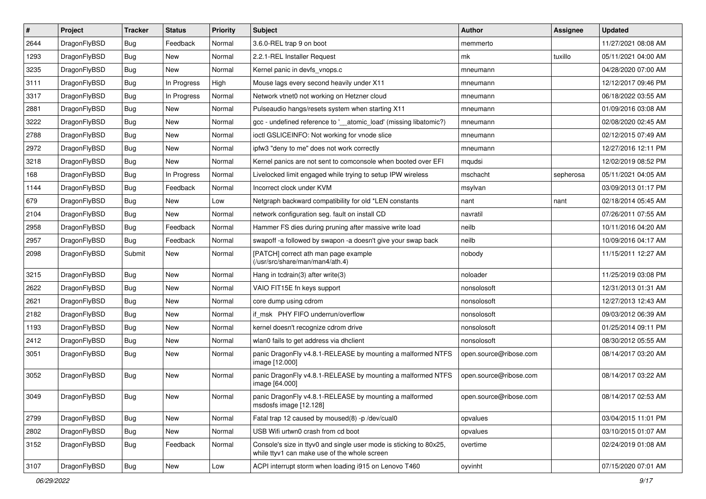| #    | Project      | <b>Tracker</b> | <b>Status</b> | <b>Priority</b> | <b>Subject</b>                                                                                                     | Author                 | Assignee  | <b>Updated</b>      |
|------|--------------|----------------|---------------|-----------------|--------------------------------------------------------------------------------------------------------------------|------------------------|-----------|---------------------|
| 2644 | DragonFlyBSD | Bug            | Feedback      | Normal          | 3.6.0-REL trap 9 on boot                                                                                           | memmerto               |           | 11/27/2021 08:08 AM |
| 1293 | DragonFlyBSD | Bug            | <b>New</b>    | Normal          | 2.2.1-REL Installer Request                                                                                        | mk                     | tuxillo   | 05/11/2021 04:00 AM |
| 3235 | DragonFlyBSD | Bug            | New           | Normal          | Kernel panic in devfs vnops.c                                                                                      | mneumann               |           | 04/28/2020 07:00 AM |
| 3111 | DragonFlyBSD | Bug            | In Progress   | High            | Mouse lags every second heavily under X11                                                                          | mneumann               |           | 12/12/2017 09:46 PM |
| 3317 | DragonFlyBSD | Bug            | In Progress   | Normal          | Network vtnet0 not working on Hetzner cloud                                                                        | mneumann               |           | 06/18/2022 03:55 AM |
| 2881 | DragonFlyBSD | Bug            | New           | Normal          | Pulseaudio hangs/resets system when starting X11                                                                   | mneumann               |           | 01/09/2016 03:08 AM |
| 3222 | DragonFlyBSD | Bug            | New           | Normal          | gcc - undefined reference to '__atomic_load' (missing libatomic?)                                                  | mneumann               |           | 02/08/2020 02:45 AM |
| 2788 | DragonFlyBSD | Bug            | <b>New</b>    | Normal          | ioctl GSLICEINFO: Not working for vnode slice                                                                      | mneumann               |           | 02/12/2015 07:49 AM |
| 2972 | DragonFlyBSD | Bug            | New           | Normal          | ipfw3 "deny to me" does not work correctly                                                                         | mneumann               |           | 12/27/2016 12:11 PM |
| 3218 | DragonFlyBSD | Bug            | New           | Normal          | Kernel panics are not sent to comconsole when booted over EFI                                                      | mqudsi                 |           | 12/02/2019 08:52 PM |
| 168  | DragonFlyBSD | Bug            | In Progress   | Normal          | Livelocked limit engaged while trying to setup IPW wireless                                                        | mschacht               | sepherosa | 05/11/2021 04:05 AM |
| 1144 | DragonFlyBSD | Bug            | Feedback      | Normal          | Incorrect clock under KVM                                                                                          | msylvan                |           | 03/09/2013 01:17 PM |
| 679  | DragonFlyBSD | Bug            | New           | Low             | Netgraph backward compatibility for old *LEN constants                                                             | nant                   | nant      | 02/18/2014 05:45 AM |
| 2104 | DragonFlyBSD | Bug            | New           | Normal          | network configuration seg. fault on install CD                                                                     | navratil               |           | 07/26/2011 07:55 AM |
| 2958 | DragonFlyBSD | Bug            | Feedback      | Normal          | Hammer FS dies during pruning after massive write load                                                             | neilb                  |           | 10/11/2016 04:20 AM |
| 2957 | DragonFlyBSD | Bug            | Feedback      | Normal          | swapoff -a followed by swapon -a doesn't give your swap back                                                       | neilb                  |           | 10/09/2016 04:17 AM |
| 2098 | DragonFlyBSD | Submit         | New           | Normal          | [PATCH] correct ath man page example<br>(/usr/src/share/man/man4/ath.4)                                            | nobody                 |           | 11/15/2011 12:27 AM |
| 3215 | DragonFlyBSD | Bug            | New           | Normal          | Hang in todrain(3) after write(3)                                                                                  | noloader               |           | 11/25/2019 03:08 PM |
| 2622 | DragonFlyBSD | Bug            | New           | Normal          | VAIO FIT15E fn keys support                                                                                        | nonsolosoft            |           | 12/31/2013 01:31 AM |
| 2621 | DragonFlyBSD | Bug            | New           | Normal          | core dump using cdrom                                                                                              | nonsolosoft            |           | 12/27/2013 12:43 AM |
| 2182 | DragonFlyBSD | Bug            | <b>New</b>    | Normal          | if_msk PHY FIFO underrun/overflow                                                                                  | nonsolosoft            |           | 09/03/2012 06:39 AM |
| 1193 | DragonFlyBSD | Bug            | <b>New</b>    | Normal          | kernel doesn't recognize cdrom drive                                                                               | nonsolosoft            |           | 01/25/2014 09:11 PM |
| 2412 | DragonFlyBSD | Bug            | New           | Normal          | wlan0 fails to get address via dhclient                                                                            | nonsolosoft            |           | 08/30/2012 05:55 AM |
| 3051 | DragonFlyBSD | Bug            | New           | Normal          | panic DragonFly v4.8.1-RELEASE by mounting a malformed NTFS<br>image [12.000]                                      | open.source@ribose.com |           | 08/14/2017 03:20 AM |
| 3052 | DragonFlyBSD | Bug            | New           | Normal          | panic DragonFly v4.8.1-RELEASE by mounting a malformed NTFS<br>image [64.000]                                      | open.source@ribose.com |           | 08/14/2017 03:22 AM |
| 3049 | DragonFlyBSD | Bug            | New           | Normal          | panic DragonFly v4.8.1-RELEASE by mounting a malformed<br>msdosfs image [12.128]                                   | open.source@ribose.com |           | 08/14/2017 02:53 AM |
| 2799 | DragonFlyBSD | <b>Bug</b>     | <b>New</b>    | Normal          | Fatal trap 12 caused by moused(8) -p /dev/cual0                                                                    | opvalues               |           | 03/04/2015 11:01 PM |
| 2802 | DragonFlyBSD | <b>Bug</b>     | New           | Normal          | USB Wifi urtwn0 crash from cd boot                                                                                 | opvalues               |           | 03/10/2015 01:07 AM |
| 3152 | DragonFlyBSD | <b>Bug</b>     | Feedback      | Normal          | Console's size in ttyv0 and single user mode is sticking to 80x25,<br>while ttyv1 can make use of the whole screen | overtime               |           | 02/24/2019 01:08 AM |
| 3107 | DragonFlyBSD | Bug            | New           | Low             | ACPI interrupt storm when loading i915 on Lenovo T460                                                              | oyvinht                |           | 07/15/2020 07:01 AM |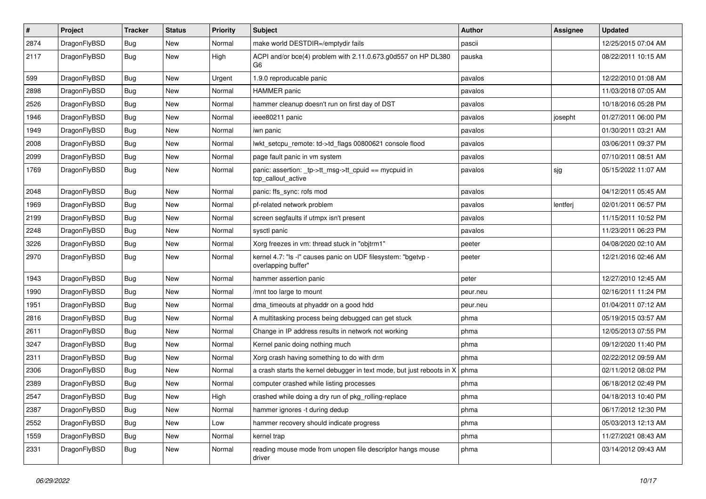| $\sharp$ | Project      | <b>Tracker</b> | <b>Status</b> | <b>Priority</b> | Subject                                                                              | Author   | Assignee | <b>Updated</b>      |
|----------|--------------|----------------|---------------|-----------------|--------------------------------------------------------------------------------------|----------|----------|---------------------|
| 2874     | DragonFlyBSD | Bug            | New           | Normal          | make world DESTDIR=/emptydir fails                                                   | pascii   |          | 12/25/2015 07:04 AM |
| 2117     | DragonFlyBSD | <b>Bug</b>     | <b>New</b>    | High            | ACPI and/or bce(4) problem with 2.11.0.673.g0d557 on HP DL380<br>G6                  | pauska   |          | 08/22/2011 10:15 AM |
| 599      | DragonFlyBSD | Bug            | New           | Urgent          | 1.9.0 reproducable panic                                                             | pavalos  |          | 12/22/2010 01:08 AM |
| 2898     | DragonFlyBSD | Bug            | New           | Normal          | <b>HAMMER</b> panic                                                                  | pavalos  |          | 11/03/2018 07:05 AM |
| 2526     | DragonFlyBSD | Bug            | <b>New</b>    | Normal          | hammer cleanup doesn't run on first day of DST                                       | pavalos  |          | 10/18/2016 05:28 PM |
| 1946     | DragonFlyBSD | Bug            | <b>New</b>    | Normal          | ieee80211 panic                                                                      | pavalos  | josepht  | 01/27/2011 06:00 PM |
| 1949     | DragonFlyBSD | <b>Bug</b>     | <b>New</b>    | Normal          | iwn panic                                                                            | pavalos  |          | 01/30/2011 03:21 AM |
| 2008     | DragonFlyBSD | <b>Bug</b>     | New           | Normal          | lwkt setcpu remote: td->td flags 00800621 console flood                              | pavalos  |          | 03/06/2011 09:37 PM |
| 2099     | DragonFlyBSD | Bug            | New           | Normal          | page fault panic in vm system                                                        | pavalos  |          | 07/10/2011 08:51 AM |
| 1769     | DragonFlyBSD | <b>Bug</b>     | New           | Normal          | panic: assertion: _tp->tt_msg->tt_cpuid == mycpuid in<br>tcp_callout_active          | pavalos  | sjg      | 05/15/2022 11:07 AM |
| 2048     | DragonFlyBSD | Bug            | New           | Normal          | panic: ffs_sync: rofs mod                                                            | pavalos  |          | 04/12/2011 05:45 AM |
| 1969     | DragonFlyBSD | Bug            | <b>New</b>    | Normal          | pf-related network problem                                                           | pavalos  | lentferj | 02/01/2011 06:57 PM |
| 2199     | DragonFlyBSD | Bug            | <b>New</b>    | Normal          | screen segfaults if utmpx isn't present                                              | pavalos  |          | 11/15/2011 10:52 PM |
| 2248     | DragonFlyBSD | <b>Bug</b>     | <b>New</b>    | Normal          | sysctl panic                                                                         | pavalos  |          | 11/23/2011 06:23 PM |
| 3226     | DragonFlyBSD | Bug            | <b>New</b>    | Normal          | Xorg freezes in vm: thread stuck in "objtrm1"                                        | peeter   |          | 04/08/2020 02:10 AM |
| 2970     | DragonFlyBSD | Bug            | <b>New</b>    | Normal          | kernel 4.7: "Is -I" causes panic on UDF filesystem: "bgetvp -<br>overlapping buffer" | peeter   |          | 12/21/2016 02:46 AM |
| 1943     | DragonFlyBSD | Bug            | <b>New</b>    | Normal          | hammer assertion panic                                                               | peter    |          | 12/27/2010 12:45 AM |
| 1990     | DragonFlyBSD | Bug            | <b>New</b>    | Normal          | /mnt too large to mount                                                              | peur.neu |          | 02/16/2011 11:24 PM |
| 1951     | DragonFlyBSD | Bug            | New           | Normal          | dma_timeouts at phyaddr on a good hdd                                                | peur.neu |          | 01/04/2011 07:12 AM |
| 2816     | DragonFlyBSD | Bug            | <b>New</b>    | Normal          | A multitasking process being debugged can get stuck                                  | phma     |          | 05/19/2015 03:57 AM |
| 2611     | DragonFlyBSD | <b>Bug</b>     | New           | Normal          | Change in IP address results in network not working                                  | phma     |          | 12/05/2013 07:55 PM |
| 3247     | DragonFlyBSD | Bug            | <b>New</b>    | Normal          | Kernel panic doing nothing much                                                      | phma     |          | 09/12/2020 11:40 PM |
| 2311     | DragonFlyBSD | <b>Bug</b>     | New           | Normal          | Xorg crash having something to do with drm                                           | phma     |          | 02/22/2012 09:59 AM |
| 2306     | DragonFlyBSD | Bug            | <b>New</b>    | Normal          | a crash starts the kernel debugger in text mode, but just reboots in X               | phma     |          | 02/11/2012 08:02 PM |
| 2389     | DragonFlyBSD | Bug            | New           | Normal          | computer crashed while listing processes                                             | phma     |          | 06/18/2012 02:49 PM |
| 2547     | DragonFlyBSD | Bug            | New           | High            | crashed while doing a dry run of pkg_rolling-replace                                 | phma     |          | 04/18/2013 10:40 PM |
| 2387     | DragonFlyBSD | <b>Bug</b>     | <b>New</b>    | Normal          | hammer ignores -t during dedup                                                       | phma     |          | 06/17/2012 12:30 PM |
| 2552     | DragonFlyBSD | <b>Bug</b>     | New           | Low             | hammer recovery should indicate progress                                             | phma     |          | 05/03/2013 12:13 AM |
| 1559     | DragonFlyBSD | <b>Bug</b>     | New           | Normal          | kernel trap                                                                          | phma     |          | 11/27/2021 08:43 AM |
| 2331     | DragonFlyBSD | <b>Bug</b>     | New           | Normal          | reading mouse mode from unopen file descriptor hangs mouse<br>driver                 | phma     |          | 03/14/2012 09:43 AM |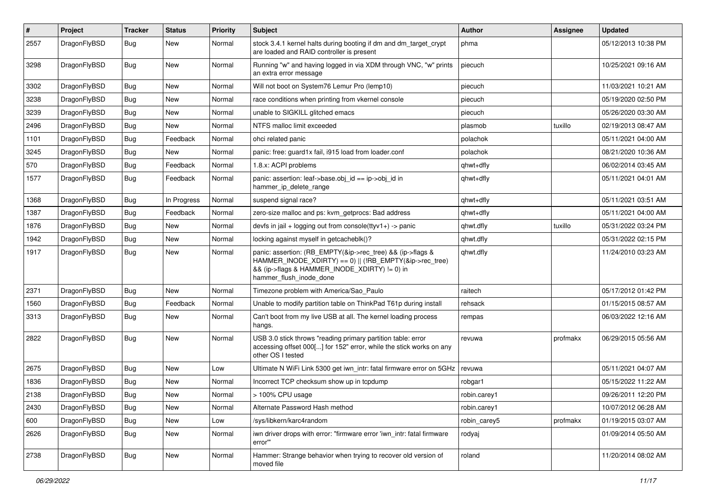| $\vert$ # | Project      | <b>Tracker</b> | <b>Status</b> | <b>Priority</b> | <b>Subject</b>                                                                                                                                                                                    | Author       | Assignee | <b>Updated</b>      |
|-----------|--------------|----------------|---------------|-----------------|---------------------------------------------------------------------------------------------------------------------------------------------------------------------------------------------------|--------------|----------|---------------------|
| 2557      | DragonFlyBSD | Bug            | New           | Normal          | stock 3.4.1 kernel halts during booting if dm and dm_target_crypt<br>are loaded and RAID controller is present                                                                                    | phma         |          | 05/12/2013 10:38 PM |
| 3298      | DragonFlyBSD | Bug            | <b>New</b>    | Normal          | Running "w" and having logged in via XDM through VNC, "w" prints<br>an extra error message                                                                                                        | piecuch      |          | 10/25/2021 09:16 AM |
| 3302      | DragonFlyBSD | <b>Bug</b>     | <b>New</b>    | Normal          | Will not boot on System76 Lemur Pro (lemp10)                                                                                                                                                      | piecuch      |          | 11/03/2021 10:21 AM |
| 3238      | DragonFlyBSD | Bug            | New           | Normal          | race conditions when printing from vkernel console                                                                                                                                                | piecuch      |          | 05/19/2020 02:50 PM |
| 3239      | DragonFlyBSD | Bug            | New           | Normal          | unable to SIGKILL glitched emacs                                                                                                                                                                  | piecuch      |          | 05/26/2020 03:30 AM |
| 2496      | DragonFlyBSD | Bug            | New           | Normal          | NTFS malloc limit exceeded                                                                                                                                                                        | plasmob      | tuxillo  | 02/19/2013 08:47 AM |
| 1101      | DragonFlyBSD | <b>Bug</b>     | Feedback      | Normal          | ohci related panic                                                                                                                                                                                | polachok     |          | 05/11/2021 04:00 AM |
| 3245      | DragonFlyBSD | <b>Bug</b>     | New           | Normal          | panic: free: guard1x fail, i915 load from loader.conf                                                                                                                                             | polachok     |          | 08/21/2020 10:36 AM |
| 570       | DragonFlyBSD | <b>Bug</b>     | Feedback      | Normal          | 1.8.x: ACPI problems                                                                                                                                                                              | qhwt+dfly    |          | 06/02/2014 03:45 AM |
| 1577      | DragonFlyBSD | Bug            | Feedback      | Normal          | panic: assertion: leaf->base.obj_id == ip->obj_id in<br>hammer_ip_delete_range                                                                                                                    | qhwt+dfly    |          | 05/11/2021 04:01 AM |
| 1368      | DragonFlyBSD | <b>Bug</b>     | In Progress   | Normal          | suspend signal race?                                                                                                                                                                              | qhwt+dfly    |          | 05/11/2021 03:51 AM |
| 1387      | DragonFlyBSD | Bug            | Feedback      | Normal          | zero-size malloc and ps: kvm_getprocs: Bad address                                                                                                                                                | qhwt+dfly    |          | 05/11/2021 04:00 AM |
| 1876      | DragonFlyBSD | <b>Bug</b>     | New           | Normal          | devfs in $ ail + logging$ out from console $(ttyv1+)$ -> panic                                                                                                                                    | qhwt.dfly    | tuxillo  | 05/31/2022 03:24 PM |
| 1942      | DragonFlyBSD | Bug            | New           | Normal          | locking against myself in getcacheblk()?                                                                                                                                                          | qhwt.dfly    |          | 05/31/2022 02:15 PM |
| 1917      | DragonFlyBSD | Bug            | New           | Normal          | panic: assertion: (RB_EMPTY(&ip->rec_tree) && (ip->flags &<br>HAMMER_INODE_XDIRTY) == 0)    (!RB_EMPTY(&ip->rec_tree)<br>&& (ip->flags & HAMMER_INODE_XDIRTY) != 0) in<br>hammer_flush_inode_done | qhwt.dfly    |          | 11/24/2010 03:23 AM |
| 2371      | DragonFlyBSD | <b>Bug</b>     | New           | Normal          | Timezone problem with America/Sao Paulo                                                                                                                                                           | raitech      |          | 05/17/2012 01:42 PM |
| 1560      | DragonFlyBSD | <b>Bug</b>     | Feedback      | Normal          | Unable to modify partition table on ThinkPad T61p during install                                                                                                                                  | rehsack      |          | 01/15/2015 08:57 AM |
| 3313      | DragonFlyBSD | Bug            | New           | Normal          | Can't boot from my live USB at all. The kernel loading process<br>hangs.                                                                                                                          | rempas       |          | 06/03/2022 12:16 AM |
| 2822      | DragonFlyBSD | Bug            | <b>New</b>    | Normal          | USB 3.0 stick throws "reading primary partition table: error<br>accessing offset 000[] for 152" error, while the stick works on any<br>other OS I tested                                          | revuwa       | profmakx | 06/29/2015 05:56 AM |
| 2675      | DragonFlyBSD | Bug            | <b>New</b>    | Low             | Ultimate N WiFi Link 5300 get iwn_intr: fatal firmware error on 5GHz                                                                                                                              | revuwa       |          | 05/11/2021 04:07 AM |
| 1836      | DragonFlyBSD | Bug            | New           | Normal          | Incorrect TCP checksum show up in tcpdump                                                                                                                                                         | robgar1      |          | 05/15/2022 11:22 AM |
| 2138      | DragonFlyBSD | Bug            | New           | Normal          | $>$ 100% CPU usage                                                                                                                                                                                | robin.carey1 |          | 09/26/2011 12:20 PM |
| 2430      | DragonFlyBSD | Bug            | <b>New</b>    | Normal          | Alternate Password Hash method                                                                                                                                                                    | robin.carey1 |          | 10/07/2012 06:28 AM |
| 600       | DragonFlyBSD | Bug            | New           | Low             | /sys/libkern/karc4random                                                                                                                                                                          | robin_carey5 | profmakx | 01/19/2015 03:07 AM |
| 2626      | DragonFlyBSD | <b>Bug</b>     | New           | Normal          | iwn driver drops with error: "firmware error 'iwn_intr: fatal firmware<br>error""                                                                                                                 | rodyaj       |          | 01/09/2014 05:50 AM |
| 2738      | DragonFlyBSD | <b>Bug</b>     | New           | Normal          | Hammer: Strange behavior when trying to recover old version of<br>moved file                                                                                                                      | roland       |          | 11/20/2014 08:02 AM |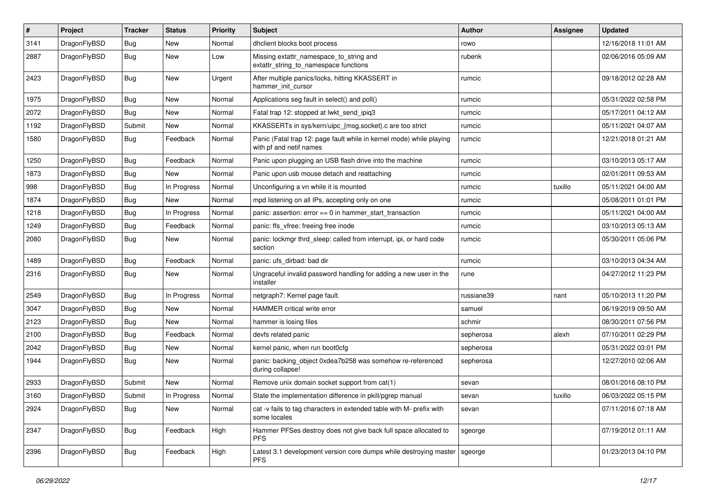| $\sharp$ | Project      | <b>Tracker</b> | <b>Status</b> | <b>Priority</b> | Subject                                                                                         | Author     | <b>Assignee</b> | <b>Updated</b>      |
|----------|--------------|----------------|---------------|-----------------|-------------------------------------------------------------------------------------------------|------------|-----------------|---------------------|
| 3141     | DragonFlyBSD | Bug            | <b>New</b>    | Normal          | dhclient blocks boot process                                                                    | rowo       |                 | 12/16/2018 11:01 AM |
| 2887     | DragonFlyBSD | <b>Bug</b>     | <b>New</b>    | Low             | Missing extattr_namespace_to_string and<br>extattr_string_to_namespace functions                | rubenk     |                 | 02/06/2016 05:09 AM |
| 2423     | DragonFlyBSD | Bug            | <b>New</b>    | Urgent          | After multiple panics/locks, hitting KKASSERT in<br>hammer init cursor                          | rumcic     |                 | 09/18/2012 02:28 AM |
| 1975     | DragonFlyBSD | Bug            | New           | Normal          | Applications seg fault in select() and poll()                                                   | rumcic     |                 | 05/31/2022 02:58 PM |
| 2072     | DragonFlyBSD | Bug            | <b>New</b>    | Normal          | Fatal trap 12: stopped at lwkt_send_ipiq3                                                       | rumcic     |                 | 05/17/2011 04:12 AM |
| 1192     | DragonFlyBSD | Submit         | New           | Normal          | KKASSERTs in sys/kern/uipc {msg,socket}.c are too strict                                        | rumcic     |                 | 05/11/2021 04:07 AM |
| 1580     | DragonFlyBSD | <b>Bug</b>     | Feedback      | Normal          | Panic (Fatal trap 12: page fault while in kernel mode) while playing<br>with pf and netif names | rumcic     |                 | 12/21/2018 01:21 AM |
| 1250     | DragonFlyBSD | <b>Bug</b>     | Feedback      | Normal          | Panic upon plugging an USB flash drive into the machine                                         | rumcic     |                 | 03/10/2013 05:17 AM |
| 1873     | DragonFlyBSD | <b>Bug</b>     | New           | Normal          | Panic upon usb mouse detach and reattaching                                                     | rumcic     |                 | 02/01/2011 09:53 AM |
| 998      | DragonFlyBSD | Bug            | In Progress   | Normal          | Unconfiguring a vn while it is mounted                                                          | rumcic     | tuxillo         | 05/11/2021 04:00 AM |
| 1874     | DragonFlyBSD | Bug            | New           | Normal          | mpd listening on all IPs, accepting only on one                                                 | rumcic     |                 | 05/08/2011 01:01 PM |
| 1218     | DragonFlyBSD | Bug            | In Progress   | Normal          | panic: assertion: error == 0 in hammer_start_transaction                                        | rumcic     |                 | 05/11/2021 04:00 AM |
| 1249     | DragonFlyBSD | <b>Bug</b>     | Feedback      | Normal          | panic: ffs vfree: freeing free inode                                                            | rumcic     |                 | 03/10/2013 05:13 AM |
| 2080     | DragonFlyBSD | Bug            | New           | Normal          | panic: lockmgr thrd_sleep: called from interrupt, ipi, or hard code<br>section                  | rumcic     |                 | 05/30/2011 05:06 PM |
| 1489     | DragonFlyBSD | Bug            | Feedback      | Normal          | panic: ufs_dirbad: bad dir                                                                      | rumcic     |                 | 03/10/2013 04:34 AM |
| 2316     | DragonFlyBSD | <b>Bug</b>     | <b>New</b>    | Normal          | Ungraceful invalid password handling for adding a new user in the<br>installer                  | rune       |                 | 04/27/2012 11:23 PM |
| 2549     | DragonFlyBSD | Bug            | In Progress   | Normal          | netgraph7: Kernel page fault.                                                                   | russiane39 | nant            | 05/10/2013 11:20 PM |
| 3047     | DragonFlyBSD | Bug            | New           | Normal          | HAMMER critical write error                                                                     | samuel     |                 | 06/19/2019 09:50 AM |
| 2123     | DragonFlyBSD | <b>Bug</b>     | New           | Normal          | hammer is losing files                                                                          | schmir     |                 | 08/30/2011 07:56 PM |
| 2100     | DragonFlyBSD | <b>Bug</b>     | Feedback      | Normal          | devfs related panic                                                                             | sepherosa  | alexh           | 07/10/2011 02:29 PM |
| 2042     | DragonFlyBSD | Bug            | New           | Normal          | kernel panic, when run boot0cfg                                                                 | sepherosa  |                 | 05/31/2022 03:01 PM |
| 1944     | DragonFlyBSD | <b>Bug</b>     | New           | Normal          | panic: backing object 0xdea7b258 was somehow re-referenced<br>during collapse!                  | sepherosa  |                 | 12/27/2010 02:06 AM |
| 2933     | DragonFlyBSD | Submit         | <b>New</b>    | Normal          | Remove unix domain socket support from cat(1)                                                   | sevan      |                 | 08/01/2016 08:10 PM |
| 3160     | DragonFlyBSD | Submit         | In Progress   | Normal          | State the implementation difference in pkill/pgrep manual                                       | sevan      | tuxillo         | 06/03/2022 05:15 PM |
| 2924     | DragonFlyBSD | <b>Bug</b>     | New           | Normal          | cat -v fails to tag characters in extended table with M- prefix with<br>some locales            | sevan      |                 | 07/11/2016 07:18 AM |
| 2347     | DragonFlyBSD | <b>Bug</b>     | Feedback      | High            | Hammer PFSes destroy does not give back full space allocated to<br><b>PFS</b>                   | sgeorge    |                 | 07/19/2012 01:11 AM |
| 2396     | DragonFlyBSD | <b>Bug</b>     | Feedback      | High            | Latest 3.1 development version core dumps while destroying master<br><b>PFS</b>                 | sgeorge    |                 | 01/23/2013 04:10 PM |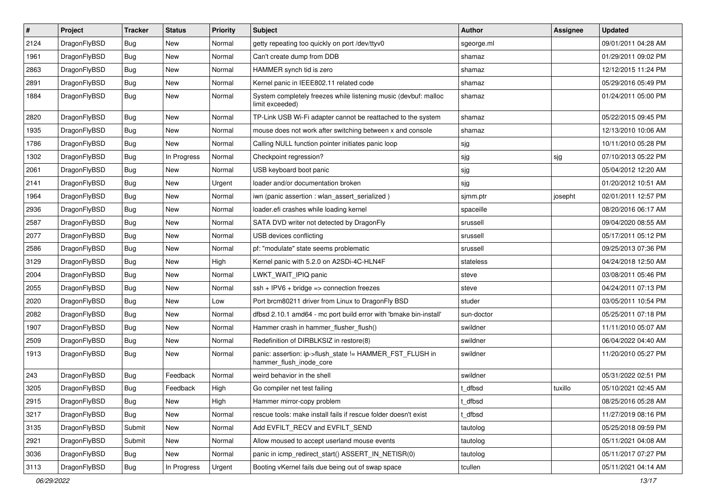| $\sharp$ | Project      | <b>Tracker</b> | <b>Status</b> | <b>Priority</b> | <b>Subject</b>                                                                      | Author     | Assignee | <b>Updated</b>      |
|----------|--------------|----------------|---------------|-----------------|-------------------------------------------------------------------------------------|------------|----------|---------------------|
| 2124     | DragonFlyBSD | <b>Bug</b>     | New           | Normal          | getty repeating too quickly on port /dev/ttyv0                                      | sgeorge.ml |          | 09/01/2011 04:28 AM |
| 1961     | DragonFlyBSD | Bug            | New           | Normal          | Can't create dump from DDB                                                          | shamaz     |          | 01/29/2011 09:02 PM |
| 2863     | DragonFlyBSD | <b>Bug</b>     | New           | Normal          | HAMMER synch tid is zero                                                            | shamaz     |          | 12/12/2015 11:24 PM |
| 2891     | DragonFlyBSD | <b>Bug</b>     | New           | Normal          | Kernel panic in IEEE802.11 related code                                             | shamaz     |          | 05/29/2016 05:49 PM |
| 1884     | DragonFlyBSD | Bug            | <b>New</b>    | Normal          | System completely freezes while listening music (devbuf: malloc<br>limit exceeded)  | shamaz     |          | 01/24/2011 05:00 PM |
| 2820     | DragonFlyBSD | Bug            | New           | Normal          | TP-Link USB Wi-Fi adapter cannot be reattached to the system                        | shamaz     |          | 05/22/2015 09:45 PM |
| 1935     | DragonFlyBSD | <b>Bug</b>     | New           | Normal          | mouse does not work after switching between x and console                           | shamaz     |          | 12/13/2010 10:06 AM |
| 1786     | DragonFlyBSD | <b>Bug</b>     | New           | Normal          | Calling NULL function pointer initiates panic loop                                  | sjg        |          | 10/11/2010 05:28 PM |
| 1302     | DragonFlyBSD | Bug            | In Progress   | Normal          | Checkpoint regression?                                                              | sjg        | sjg      | 07/10/2013 05:22 PM |
| 2061     | DragonFlyBSD | <b>Bug</b>     | New           | Normal          | USB keyboard boot panic                                                             | sjg        |          | 05/04/2012 12:20 AM |
| 2141     | DragonFlyBSD | <b>Bug</b>     | New           | Urgent          | loader and/or documentation broken                                                  | sjg        |          | 01/20/2012 10:51 AM |
| 1964     | DragonFlyBSD | <b>Bug</b>     | New           | Normal          | iwn (panic assertion : wlan assert serialized)                                      | sjmm.ptr   | josepht  | 02/01/2011 12:57 PM |
| 2936     | DragonFlyBSD | <b>Bug</b>     | <b>New</b>    | Normal          | loader.efi crashes while loading kernel                                             | spaceille  |          | 08/20/2016 06:17 AM |
| 2587     | DragonFlyBSD | Bug            | <b>New</b>    | Normal          | SATA DVD writer not detected by DragonFly                                           | srussell   |          | 09/04/2020 08:55 AM |
| 2077     | DragonFlyBSD | <b>Bug</b>     | <b>New</b>    | Normal          | USB devices conflicting                                                             | srussell   |          | 05/17/2011 05:12 PM |
| 2586     | DragonFlyBSD | Bug            | New           | Normal          | pf: "modulate" state seems problematic                                              | srussell   |          | 09/25/2013 07:36 PM |
| 3129     | DragonFlyBSD | Bug            | <b>New</b>    | High            | Kernel panic with 5.2.0 on A2SDi-4C-HLN4F                                           | stateless  |          | 04/24/2018 12:50 AM |
| 2004     | DragonFlyBSD | <b>Bug</b>     | <b>New</b>    | Normal          | LWKT WAIT IPIQ panic                                                                | steve      |          | 03/08/2011 05:46 PM |
| 2055     | DragonFlyBSD | <b>Bug</b>     | <b>New</b>    | Normal          | $ssh + IPV6 + bridge \Rightarrow connection freezes$                                | steve      |          | 04/24/2011 07:13 PM |
| 2020     | DragonFlyBSD | <b>Bug</b>     | <b>New</b>    | Low             | Port brcm80211 driver from Linux to DragonFly BSD                                   | studer     |          | 03/05/2011 10:54 PM |
| 2082     | DragonFlyBSD | <b>Bug</b>     | <b>New</b>    | Normal          | dfbsd 2.10.1 amd64 - mc port build error with 'bmake bin-install'                   | sun-doctor |          | 05/25/2011 07:18 PM |
| 1907     | DragonFlyBSD | Bug            | <b>New</b>    | Normal          | Hammer crash in hammer_flusher_flush()                                              | swildner   |          | 11/11/2010 05:07 AM |
| 2509     | DragonFlyBSD | <b>Bug</b>     | New           | Normal          | Redefinition of DIRBLKSIZ in restore(8)                                             | swildner   |          | 06/04/2022 04:40 AM |
| 1913     | DragonFlyBSD | <b>Bug</b>     | <b>New</b>    | Normal          | panic: assertion: ip->flush_state != HAMMER_FST_FLUSH in<br>hammer_flush_inode_core | swildner   |          | 11/20/2010 05:27 PM |
| 243      | DragonFlyBSD | Bug            | Feedback      | Normal          | weird behavior in the shell                                                         | swildner   |          | 05/31/2022 02:51 PM |
| 3205     | DragonFlyBSD | Bug            | Feedback      | High            | Go compiler net test failing                                                        | t dfbsd    | tuxillo  | 05/10/2021 02:45 AM |
| 2915     | DragonFlyBSD | <b>Bug</b>     | New           | High            | Hammer mirror-copy problem                                                          | t_dfbsd    |          | 08/25/2016 05:28 AM |
| 3217     | DragonFlyBSD | Bug            | New           | Normal          | rescue tools: make install fails if rescue folder doesn't exist                     | t_dfbsd    |          | 11/27/2019 08:16 PM |
| 3135     | DragonFlyBSD | Submit         | New           | Normal          | Add EVFILT RECV and EVFILT SEND                                                     | tautolog   |          | 05/25/2018 09:59 PM |
| 2921     | DragonFlyBSD | Submit         | New           | Normal          | Allow moused to accept userland mouse events                                        | tautolog   |          | 05/11/2021 04:08 AM |
| 3036     | DragonFlyBSD | <b>Bug</b>     | New           | Normal          | panic in icmp_redirect_start() ASSERT_IN_NETISR(0)                                  | tautolog   |          | 05/11/2017 07:27 PM |
| 3113     | DragonFlyBSD | <b>Bug</b>     | In Progress   | Urgent          | Booting vKernel fails due being out of swap space                                   | tcullen    |          | 05/11/2021 04:14 AM |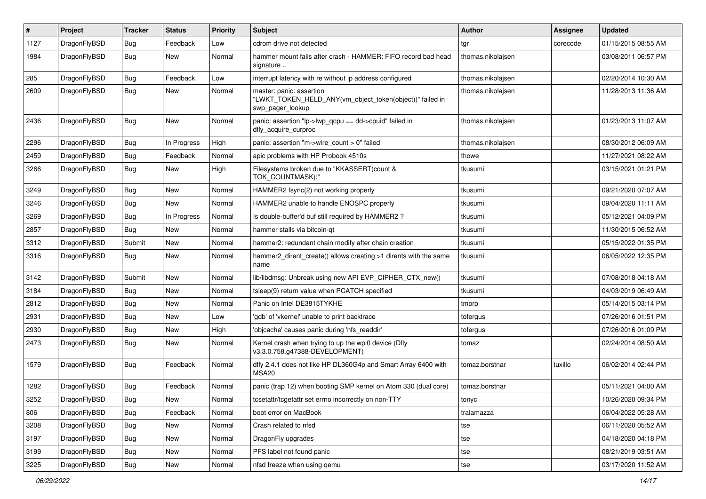| $\sharp$ | Project      | <b>Tracker</b> | <b>Status</b> | <b>Priority</b> | <b>Subject</b>                                                                                           | Author            | <b>Assignee</b> | <b>Updated</b>      |
|----------|--------------|----------------|---------------|-----------------|----------------------------------------------------------------------------------------------------------|-------------------|-----------------|---------------------|
| 1127     | DragonFlyBSD | <b>Bug</b>     | Feedback      | Low             | cdrom drive not detected                                                                                 | tgr               | corecode        | 01/15/2015 08:55 AM |
| 1984     | DragonFlyBSD | Bug            | New           | Normal          | hammer mount fails after crash - HAMMER: FIFO record bad head<br>signature                               | thomas.nikolajsen |                 | 03/08/2011 06:57 PM |
| 285      | DragonFlyBSD | Bug            | Feedback      | Low             | interrupt latency with re without ip address configured                                                  | thomas.nikolajsen |                 | 02/20/2014 10:30 AM |
| 2609     | DragonFlyBSD | Bug            | New           | Normal          | master: panic: assertion<br>"LWKT_TOKEN_HELD_ANY(vm_object_token(object))" failed in<br>swp_pager_lookup | thomas.nikolajsen |                 | 11/28/2013 11:36 AM |
| 2436     | DragonFlyBSD | Bug            | New           | Normal          | panic: assertion "lp->lwp_qcpu == dd->cpuid" failed in<br>dfly_acquire_curproc                           | thomas.nikolajsen |                 | 01/23/2013 11:07 AM |
| 2296     | DragonFlyBSD | <b>Bug</b>     | In Progress   | High            | panic: assertion "m->wire_count > 0" failed                                                              | thomas.nikolajsen |                 | 08/30/2012 06:09 AM |
| 2459     | DragonFlyBSD | Bug            | Feedback      | Normal          | apic problems with HP Probook 4510s                                                                      | thowe             |                 | 11/27/2021 08:22 AM |
| 3266     | DragonFlyBSD | <b>Bug</b>     | New           | High            | Filesystems broken due to "KKASSERT(count &<br>TOK_COUNTMASK);"                                          | tkusumi           |                 | 03/15/2021 01:21 PM |
| 3249     | DragonFlyBSD | <b>Bug</b>     | New           | Normal          | HAMMER2 fsync(2) not working properly                                                                    | tkusumi           |                 | 09/21/2020 07:07 AM |
| 3246     | DragonFlyBSD | <b>Bug</b>     | New           | Normal          | HAMMER2 unable to handle ENOSPC properly                                                                 | tkusumi           |                 | 09/04/2020 11:11 AM |
| 3269     | DragonFlyBSD | <b>Bug</b>     | In Progress   | Normal          | Is double-buffer'd buf still required by HAMMER2 ?                                                       | tkusumi           |                 | 05/12/2021 04:09 PM |
| 2857     | DragonFlyBSD | Bug            | New           | Normal          | hammer stalls via bitcoin-qt                                                                             | tkusumi           |                 | 11/30/2015 06:52 AM |
| 3312     | DragonFlyBSD | Submit         | <b>New</b>    | Normal          | hammer2: redundant chain modify after chain creation                                                     | tkusumi           |                 | 05/15/2022 01:35 PM |
| 3316     | DragonFlyBSD | <b>Bug</b>     | New           | Normal          | hammer2_dirent_create() allows creating >1 dirents with the same<br>name                                 | tkusumi           |                 | 06/05/2022 12:35 PM |
| 3142     | DragonFlyBSD | Submit         | <b>New</b>    | Normal          | lib/libdmsg: Unbreak using new API EVP_CIPHER_CTX_new()                                                  | tkusumi           |                 | 07/08/2018 04:18 AM |
| 3184     | DragonFlyBSD | <b>Bug</b>     | New           | Normal          | tsleep(9) return value when PCATCH specified                                                             | tkusumi           |                 | 04/03/2019 06:49 AM |
| 2812     | DragonFlyBSD | <b>Bug</b>     | New           | Normal          | Panic on Intel DE3815TYKHE                                                                               | tmorp             |                 | 05/14/2015 03:14 PM |
| 2931     | DragonFlyBSD | <b>Bug</b>     | New           | Low             | 'gdb' of 'vkernel' unable to print backtrace                                                             | tofergus          |                 | 07/26/2016 01:51 PM |
| 2930     | DragonFlyBSD | <b>Bug</b>     | <b>New</b>    | High            | 'objcache' causes panic during 'nfs_readdir'                                                             | tofergus          |                 | 07/26/2016 01:09 PM |
| 2473     | DragonFlyBSD | Bug            | New           | Normal          | Kernel crash when trying to up the wpi0 device (Dfly<br>v3.3.0.758.g47388-DEVELOPMENT)                   | tomaz             |                 | 02/24/2014 08:50 AM |
| 1579     | DragonFlyBSD | Bug            | Feedback      | Normal          | dfly 2.4.1 does not like HP DL360G4p and Smart Array 6400 with<br>MSA20                                  | tomaz.borstnar    | tuxillo         | 06/02/2014 02:44 PM |
| 1282     | DragonFlyBSD | <b>Bug</b>     | Feedback      | Normal          | panic (trap 12) when booting SMP kernel on Atom 330 (dual core)                                          | tomaz.borstnar    |                 | 05/11/2021 04:00 AM |
| 3252     | DragonFlyBSD | <b>Bug</b>     | New           | Normal          | tcsetattr/tcgetattr set errno incorrectly on non-TTY                                                     | tonyc             |                 | 10/26/2020 09:34 PM |
| 806      | DragonFlyBSD | Bug            | Feedback      | Normal          | boot error on MacBook                                                                                    | tralamazza        |                 | 06/04/2022 05:28 AM |
| 3208     | DragonFlyBSD | <b>Bug</b>     | New           | Normal          | Crash related to nfsd                                                                                    | tse               |                 | 06/11/2020 05:52 AM |
| 3197     | DragonFlyBSD | <b>Bug</b>     | New           | Normal          | DragonFly upgrades                                                                                       | tse               |                 | 04/18/2020 04:18 PM |
| 3199     | DragonFlyBSD | <b>Bug</b>     | New           | Normal          | PFS label not found panic                                                                                | tse               |                 | 08/21/2019 03:51 AM |
| 3225     | DragonFlyBSD | <b>Bug</b>     | New           | Normal          | nfsd freeze when using qemu                                                                              | tse               |                 | 03/17/2020 11:52 AM |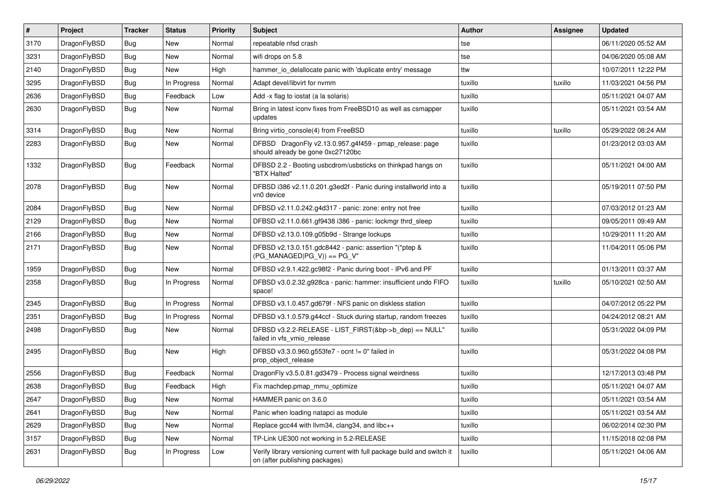| $\vert$ # | Project      | <b>Tracker</b> | <b>Status</b> | <b>Priority</b> | <b>Subject</b>                                                                                            | <b>Author</b> | <b>Assignee</b> | <b>Updated</b>      |
|-----------|--------------|----------------|---------------|-----------------|-----------------------------------------------------------------------------------------------------------|---------------|-----------------|---------------------|
| 3170      | DragonFlyBSD | <b>Bug</b>     | New           | Normal          | repeatable nfsd crash                                                                                     | tse           |                 | 06/11/2020 05:52 AM |
| 3231      | DragonFlyBSD | Bug            | <b>New</b>    | Normal          | wifi drops on 5.8                                                                                         | tse           |                 | 04/06/2020 05:08 AM |
| 2140      | DragonFlyBSD | <b>Bug</b>     | New           | High            | hammer_io_delallocate panic with 'duplicate entry' message                                                | ttw           |                 | 10/07/2011 12:22 PM |
| 3295      | DragonFlyBSD | Bug            | In Progress   | Normal          | Adapt devel/libvirt for nvmm                                                                              | tuxillo       | tuxillo         | 11/03/2021 04:56 PM |
| 2636      | DragonFlyBSD | <b>Bug</b>     | Feedback      | Low             | Add -x flag to iostat (a la solaris)                                                                      | tuxillo       |                 | 05/11/2021 04:07 AM |
| 2630      | DragonFlyBSD | <b>Bug</b>     | New           | Normal          | Bring in latest iconv fixes from FreeBSD10 as well as csmapper<br>updates                                 | tuxillo       |                 | 05/11/2021 03:54 AM |
| 3314      | DragonFlyBSD | <b>Bug</b>     | <b>New</b>    | Normal          | Bring virtio_console(4) from FreeBSD                                                                      | tuxillo       | tuxillo         | 05/29/2022 08:24 AM |
| 2283      | DragonFlyBSD | Bug            | New           | Normal          | DFBSD DragonFly v2.13.0.957.g4f459 - pmap_release: page<br>should already be gone 0xc27120bc              | tuxillo       |                 | 01/23/2012 03:03 AM |
| 1332      | DragonFlyBSD | <b>Bug</b>     | Feedback      | Normal          | DFBSD 2.2 - Booting usbcdrom/usbsticks on thinkpad hangs on<br>"BTX Halted"                               | tuxillo       |                 | 05/11/2021 04:00 AM |
| 2078      | DragonFlyBSD | <b>Bug</b>     | New           | Normal          | DFBSD i386 v2.11.0.201.g3ed2f - Panic during installworld into a<br>vn0 device                            | tuxillo       |                 | 05/19/2011 07:50 PM |
| 2084      | DragonFlyBSD | Bug            | <b>New</b>    | Normal          | DFBSD v2.11.0.242.g4d317 - panic: zone: entry not free                                                    | tuxillo       |                 | 07/03/2012 01:23 AM |
| 2129      | DragonFlyBSD | <b>Bug</b>     | <b>New</b>    | Normal          | DFBSD v2.11.0.661.gf9438 i386 - panic: lockmgr thrd_sleep                                                 | tuxillo       |                 | 09/05/2011 09:49 AM |
| 2166      | DragonFlyBSD | <b>Bug</b>     | <b>New</b>    | Normal          | DFBSD v2.13.0.109.g05b9d - Strange lockups                                                                | tuxillo       |                 | 10/29/2011 11:20 AM |
| 2171      | DragonFlyBSD | Bug            | <b>New</b>    | Normal          | DFBSD v2.13.0.151.gdc8442 - panic: assertion "(*ptep &<br>$(PG_MANAGED PG_V)$ == PG_V"                    | tuxillo       |                 | 11/04/2011 05:06 PM |
| 1959      | DragonFlyBSD | Bug            | <b>New</b>    | Normal          | DFBSD v2.9.1.422.gc98f2 - Panic during boot - IPv6 and PF                                                 | tuxillo       |                 | 01/13/2011 03:37 AM |
| 2358      | DragonFlyBSD | <b>Bug</b>     | In Progress   | Normal          | DFBSD v3.0.2.32.g928ca - panic: hammer: insufficient undo FIFO<br>space!                                  | tuxillo       | tuxillo         | 05/10/2021 02:50 AM |
| 2345      | DragonFlyBSD | Bug            | In Progress   | Normal          | DFBSD v3.1.0.457.gd679f - NFS panic on diskless station                                                   | tuxillo       |                 | 04/07/2012 05:22 PM |
| 2351      | DragonFlyBSD | <b>Bug</b>     | In Progress   | Normal          | DFBSD v3.1.0.579.g44ccf - Stuck during startup, random freezes                                            | tuxillo       |                 | 04/24/2012 08:21 AM |
| 2498      | DragonFlyBSD | <b>Bug</b>     | New           | Normal          | DFBSD v3.2.2-RELEASE - LIST_FIRST(&bp->b_dep) == NULL"<br>failed in vfs_vmio_release                      | tuxillo       |                 | 05/31/2022 04:09 PM |
| 2495      | DragonFlyBSD | <b>Bug</b>     | New           | High            | DFBSD v3.3.0.960.g553fe7 - ocnt != 0" failed in<br>prop_object_release                                    | tuxillo       |                 | 05/31/2022 04:08 PM |
| 2556      | DragonFlyBSD | Bug            | Feedback      | Normal          | DragonFly v3.5.0.81.gd3479 - Process signal weirdness                                                     | tuxillo       |                 | 12/17/2013 03:48 PM |
| 2638      | DragonFlyBSD | <b>Bug</b>     | Feedback      | High            | Fix machdep.pmap_mmu_optimize                                                                             | tuxillo       |                 | 05/11/2021 04:07 AM |
| 2647      | DragonFlyBSD | <b>Bug</b>     | New           | Normal          | HAMMER panic on 3.6.0                                                                                     | tuxillo       |                 | 05/11/2021 03:54 AM |
| 2641      | DragonFlyBSD | <b>Bug</b>     | New           | Normal          | Panic when loading natapci as module                                                                      | tuxillo       |                 | 05/11/2021 03:54 AM |
| 2629      | DragonFlyBSD | <b>Bug</b>     | New           | Normal          | Replace gcc44 with llvm34, clang34, and libc++                                                            | tuxillo       |                 | 06/02/2014 02:30 PM |
| 3157      | DragonFlyBSD | Bug            | New           | Normal          | TP-Link UE300 not working in 5.2-RELEASE                                                                  | tuxillo       |                 | 11/15/2018 02:08 PM |
| 2631      | DragonFlyBSD | <b>Bug</b>     | In Progress   | Low             | Verify library versioning current with full package build and switch it<br>on (after publishing packages) | tuxillo       |                 | 05/11/2021 04:06 AM |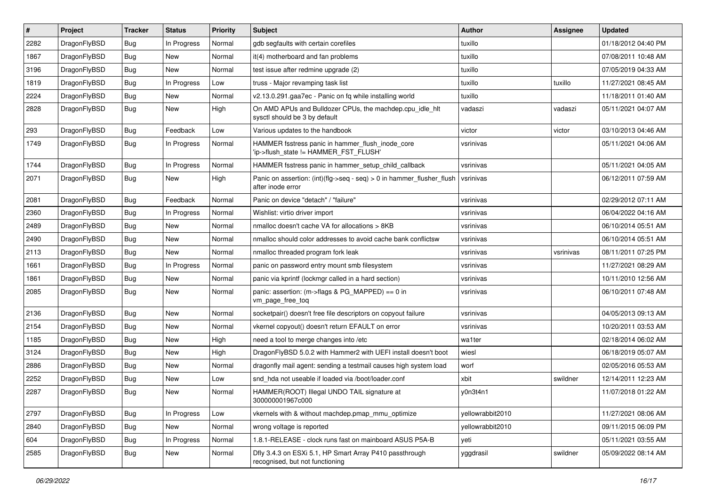| $\vert$ # | Project      | <b>Tracker</b> | <b>Status</b> | <b>Priority</b> | <b>Subject</b>                                                                             | <b>Author</b>    | Assignee  | <b>Updated</b>      |
|-----------|--------------|----------------|---------------|-----------------|--------------------------------------------------------------------------------------------|------------------|-----------|---------------------|
| 2282      | DragonFlyBSD | Bug            | In Progress   | Normal          | gdb segfaults with certain corefiles                                                       | tuxillo          |           | 01/18/2012 04:40 PM |
| 1867      | DragonFlyBSD | <b>Bug</b>     | New           | Normal          | it(4) motherboard and fan problems                                                         | tuxillo          |           | 07/08/2011 10:48 AM |
| 3196      | DragonFlyBSD | <b>Bug</b>     | New           | Normal          | test issue after redmine upgrade (2)                                                       | tuxillo          |           | 07/05/2019 04:33 AM |
| 1819      | DragonFlyBSD | <b>Bug</b>     | In Progress   | Low             | truss - Major revamping task list                                                          | tuxillo          | tuxillo   | 11/27/2021 08:45 AM |
| 2224      | DragonFlyBSD | <b>Bug</b>     | <b>New</b>    | Normal          | v2.13.0.291.gaa7ec - Panic on fq while installing world                                    | tuxillo          |           | 11/18/2011 01:40 AM |
| 2828      | DragonFlyBSD | <b>Bug</b>     | <b>New</b>    | High            | On AMD APUs and Bulldozer CPUs, the machdep.cpu idle hlt<br>sysctl should be 3 by default  | vadaszi          | vadaszi   | 05/11/2021 04:07 AM |
| 293       | DragonFlyBSD | <b>Bug</b>     | Feedback      | Low             | Various updates to the handbook                                                            | victor           | victor    | 03/10/2013 04:46 AM |
| 1749      | DragonFlyBSD | <b>Bug</b>     | In Progress   | Normal          | HAMMER fsstress panic in hammer_flush_inode_core<br>'ip->flush_state != HAMMER_FST_FLUSH'  | vsrinivas        |           | 05/11/2021 04:06 AM |
| 1744      | DragonFlyBSD | <b>Bug</b>     | In Progress   | Normal          | HAMMER fsstress panic in hammer_setup_child_callback                                       | vsrinivas        |           | 05/11/2021 04:05 AM |
| 2071      | DragonFlyBSD | Bug            | New           | High            | Panic on assertion: (int)(flg->seq - seq) > 0 in hammer_flusher_flush<br>after inode error | vsrinivas        |           | 06/12/2011 07:59 AM |
| 2081      | DragonFlyBSD | <b>Bug</b>     | Feedback      | Normal          | Panic on device "detach" / "failure"                                                       | vsrinivas        |           | 02/29/2012 07:11 AM |
| 2360      | DragonFlyBSD | <b>Bug</b>     | In Progress   | Normal          | Wishlist: virtio driver import                                                             | vsrinivas        |           | 06/04/2022 04:16 AM |
| 2489      | DragonFlyBSD | Bug            | New           | Normal          | nmalloc doesn't cache VA for allocations > 8KB                                             | vsrinivas        |           | 06/10/2014 05:51 AM |
| 2490      | DragonFlyBSD | <b>Bug</b>     | New           | Normal          | nmalloc should color addresses to avoid cache bank conflictsw                              | vsrinivas        |           | 06/10/2014 05:51 AM |
| 2113      | DragonFlyBSD | <b>Bug</b>     | New           | Normal          | nmalloc threaded program fork leak                                                         | vsrinivas        | vsrinivas | 08/11/2011 07:25 PM |
| 1661      | DragonFlyBSD | <b>Bug</b>     | In Progress   | Normal          | panic on password entry mount smb filesystem                                               | vsrinivas        |           | 11/27/2021 08:29 AM |
| 1861      | DragonFlyBSD | Bug            | New           | Normal          | panic via kprintf (lockmgr called in a hard section)                                       | vsrinivas        |           | 10/11/2010 12:56 AM |
| 2085      | DragonFlyBSD | Bug            | <b>New</b>    | Normal          | panic: assertion: (m->flags & PG_MAPPED) == 0 in<br>vm_page_free_toq                       | vsrinivas        |           | 06/10/2011 07:48 AM |
| 2136      | DragonFlyBSD | Bug            | <b>New</b>    | Normal          | socketpair() doesn't free file descriptors on copyout failure                              | vsrinivas        |           | 04/05/2013 09:13 AM |
| 2154      | DragonFlyBSD | Bug            | New           | Normal          | vkernel copyout() doesn't return EFAULT on error                                           | vsrinivas        |           | 10/20/2011 03:53 AM |
| 1185      | DragonFlyBSD | <b>Bug</b>     | New           | High            | need a tool to merge changes into /etc                                                     | wa1ter           |           | 02/18/2014 06:02 AM |
| 3124      | DragonFlyBSD | <b>Bug</b>     | New           | High            | DragonFlyBSD 5.0.2 with Hammer2 with UEFI install doesn't boot                             | wiesl            |           | 06/18/2019 05:07 AM |
| 2886      | DragonFlyBSD | <b>Bug</b>     | New           | Normal          | dragonfly mail agent: sending a testmail causes high system load                           | worf             |           | 02/05/2016 05:53 AM |
| 2252      | DragonFlyBSD | <b>Bug</b>     | New           | Low             | snd hda not useable if loaded via /boot/loader.conf                                        | xbit             | swildner  | 12/14/2011 12:23 AM |
| 2287      | DragonFlyBSD | <b>Bug</b>     | New           | Normal          | HAMMER(ROOT) Illegal UNDO TAIL signature at<br>300000001967c000                            | y0n3t4n1         |           | 11/07/2018 01:22 AM |
| 2797      | DragonFlyBSD | Bug            | In Progress   | Low             | vkernels with & without machdep.pmap mmu optimize                                          | yellowrabbit2010 |           | 11/27/2021 08:06 AM |
| 2840      | DragonFlyBSD | <b>Bug</b>     | New           | Normal          | wrong voltage is reported                                                                  | yellowrabbit2010 |           | 09/11/2015 06:09 PM |
| 604       | DragonFlyBSD | <b>Bug</b>     | In Progress   | Normal          | 1.8.1-RELEASE - clock runs fast on mainboard ASUS P5A-B                                    | yeti             |           | 05/11/2021 03:55 AM |
| 2585      | DragonFlyBSD | <b>Bug</b>     | New           | Normal          | Dfly 3.4.3 on ESXi 5.1, HP Smart Array P410 passthrough<br>recognised, but not functioning | yggdrasil        | swildner  | 05/09/2022 08:14 AM |